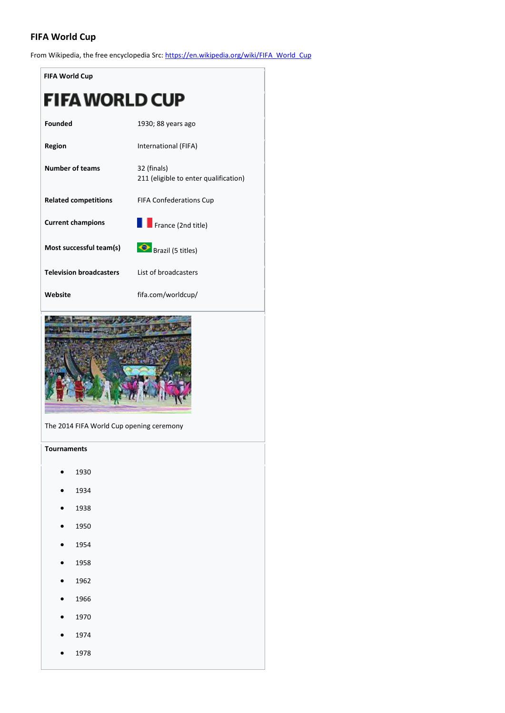# **FIFA World Cup**

From Wikipedia, the free encyclopedia Src: [https://en.wikipedia.org/wiki/FIFA\\_World\\_Cup](https://en.wikipedia.org/wiki/FIFA_World_Cup)

| <b>FIFA World Cup</b>          |                                                      |  |  |  |  |  |  |
|--------------------------------|------------------------------------------------------|--|--|--|--|--|--|
| FIFA WORLD CUP                 |                                                      |  |  |  |  |  |  |
| <b>Founded</b>                 | 1930; 88 years ago                                   |  |  |  |  |  |  |
| Region                         | International (FIFA)                                 |  |  |  |  |  |  |
| <b>Number of teams</b>         | 32 (finals)<br>211 (eligible to enter qualification) |  |  |  |  |  |  |
| <b>Related competitions</b>    | <b>FIFA Confederations Cup</b>                       |  |  |  |  |  |  |
| <b>Current champions</b>       | France (2nd title)                                   |  |  |  |  |  |  |
| Most successful team(s)        | Brazil (5 titles)                                    |  |  |  |  |  |  |
| <b>Television broadcasters</b> | List of broadcasters                                 |  |  |  |  |  |  |
| Website                        | fifa.com/worldcup/                                   |  |  |  |  |  |  |



The 2014 FIFA World Cup opening ceremony

**Tournaments**

- 1930
- 1934
- 1938
- 1950
- 1954
- 1958
- 1962
- 1966
- 1970
- 1974
- 1978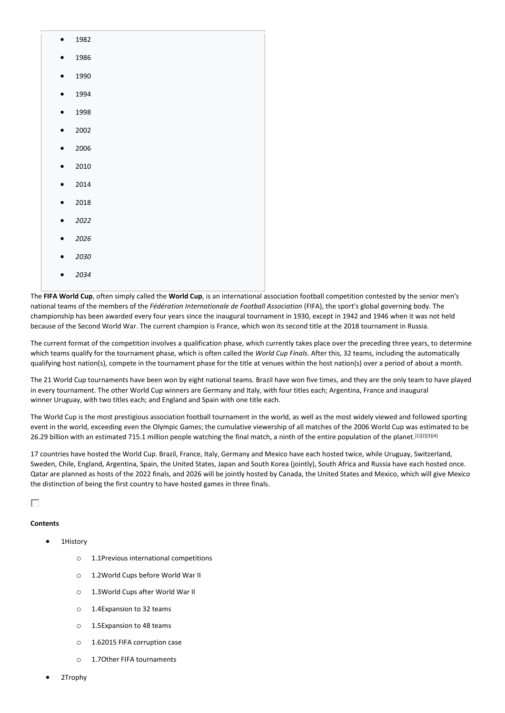|           | 1982 |
|-----------|------|
| $\bullet$ | 1986 |
| $\bullet$ | 1990 |
| $\bullet$ | 1994 |
| $\bullet$ | 1998 |
| $\bullet$ | 2002 |
| $\bullet$ | 2006 |
| $\bullet$ | 2010 |
| $\bullet$ | 2014 |
| $\bullet$ | 2018 |
| $\bullet$ | 2022 |
| $\bullet$ | 2026 |
|           | 2030 |
|           |      |

The **FIFA World Cup**, often simply called the **World Cup**, is an international association football competition contested by the senior men's national teams of the members of the *Fédération Internationale de Football Association* (FIFA), the sport's global governing body. The championship has been awarded every four years since the inaugural tournament in 1930, except in 1942 and 1946 when it was not held because of the Second World War. The current champion is France, which won its second title at the 2018 tournament in Russia.

The current format of the competition involves a qualification phase, which currently takes place over the preceding three years, to determine which teams qualify for the tournament phase, which is often called the *World Cup Finals*. After this, 32 teams, including the automatically qualifying host nation(s), compete in the tournament phase for the title at venues within the host nation(s) over a period of about a month.

The 21 World Cup tournaments have been won by eight national teams. Brazil have won five times, and they are the only team to have played in every tournament. The other World Cup winners are Germany and Italy, with four titles each; Argentina, France and inaugural winner Uruguay, with two titles each; and England and Spain with one title each.

The World Cup is the most prestigious association football tournament in the world, as well as the most widely viewed and followed sporting event in the world, exceeding even the Olympic Games; the cumulative viewership of all matches of the 2006 World Cup was estimated to be 26.29 billion with an estimated 715.1 million people watching the final match, a ninth of the entire population of the planet.<sup>[1][2][3][4]</sup>

17 countries have hosted the World Cup. Brazil, France, Italy, Germany and Mexico have each hosted twice, while Uruguay, Switzerland, Sweden, Chile, England, Argentina, Spain, the United States, Japan and South Korea (jointly), South Africa and Russia have each hosted once. Qatar are planned as hosts of the 2022 finals, and 2026 will be jointly hosted by Canada, the United States and Mexico, which will give Mexico the distinction of being the first country to have hosted games in three finals.

П

### **Contents**

• 1History

• *2034*

- o 1.1Previous international competitions
- o 1.2World Cups before World War II
- o 1.3World Cups after World War II
- o 1.4Expansion to 32 teams
- o 1.5Expansion to 48 teams
- o 1.62015 FIFA corruption case
- o 1.7Other FIFA tournaments
- 2Trophy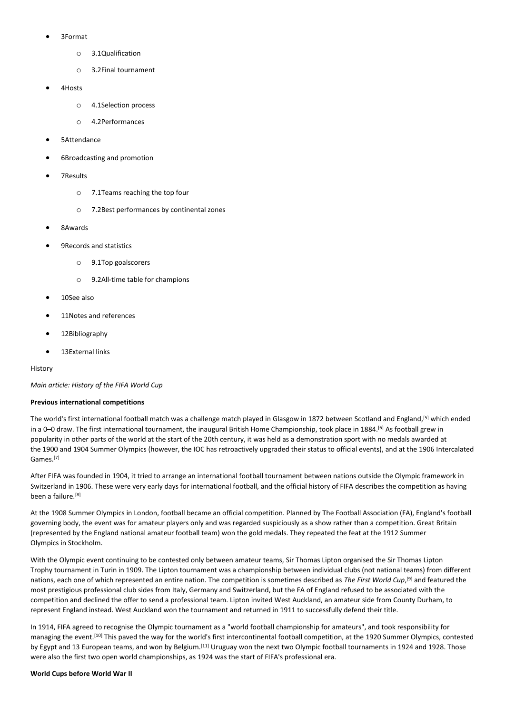- 3Format
	- o 3.1Qualification
	- o 3.2Final tournament
- 4Hosts
	- o 4.1Selection process
	- o 4.2Performances
- 5Attendance
- 6Broadcasting and promotion
- 7Results
	- o 7.1Teams reaching the top four
	- o 7.2Best performances by continental zones
- 8Awards
- 9Records and statistics
	- o 9.1Top goalscorers
	- o 9.2All-time table for champions
- 10See also
- 11Notes and references
- 12Bibliography
- 13External links

#### History

*Main article: History of the FIFA World Cup*

#### **Previous international competitions**

The world's first international football match was a challenge match played in Glasgow in 1872 between Scotland and England,<sup>[5]</sup> which ended in a 0–0 draw. The first international tournament, the inaugural British Home Championship, took place in 1884.<sup>[6]</sup> As football grew in popularity in other parts of the world at the start of the 20th century, it was held as a demonstration sport with no medals awarded at the 1900 and 1904 Summer Olympics (however, the IOC has retroactively upgraded their status to official events), and at the 1906 Intercalated Games. [7]

After FIFA was founded in 1904, it tried to arrange an international football tournament between nations outside the Olympic framework in Switzerland in 1906. These were very early days for international football, and the official history of FIFA describes the competition as having been a failure.<sup>[8]</sup>

At the 1908 Summer Olympics in London, football became an official competition. Planned by The Football Association (FA), England's football governing body, the event was for amateur players only and was regarded suspiciously as a show rather than a competition. Great Britain (represented by the England national amateur football team) won the gold medals. They repeated the feat at the 1912 Summer Olympics in Stockholm.

With the Olympic event continuing to be contested only between amateur teams, Sir Thomas Lipton organised the Sir Thomas Lipton Trophy tournament in Turin in 1909. The Lipton tournament was a championship between individual clubs (not national teams) from different nations, each one of which represented an entire nation. The competition is sometimes described as *The First World Cup*, [9] and featured the most prestigious professional club sides from Italy, Germany and Switzerland, but the FA of England refused to be associated with the competition and declined the offer to send a professional team. Lipton invited West Auckland, an amateur side from County Durham, to represent England instead. West Auckland won the tournament and returned in 1911 to successfully defend their title.

In 1914, FIFA agreed to recognise the Olympic tournament as a "world football championship for amateurs", and took responsibility for managing the event.[10] This paved the way for the world's first intercontinental football competition, at the 1920 Summer Olympics, contested by Egypt and 13 European teams, and won by Belgium.<sup>[11]</sup> Uruguay won the next two Olympic football tournaments in 1924 and 1928. Those were also the first two open world championships, as 1924 was the start of FIFA's professional era.

#### **World Cups before World War II**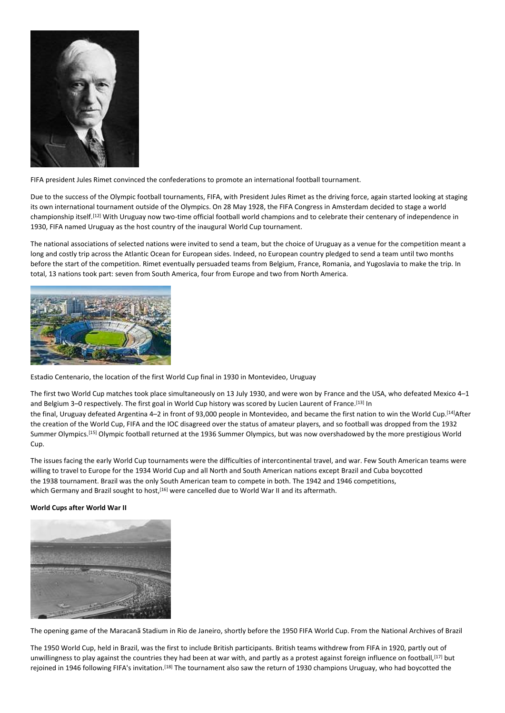

FIFA president Jules Rimet convinced the confederations to promote an international football tournament.

Due to the success of the Olympic football tournaments, FIFA, with President Jules Rimet as the driving force, again started looking at staging its own international tournament outside of the Olympics. On 28 May 1928, the FIFA Congress in Amsterdam decided to stage a world championship itself.[12] With Uruguay now two-time official football world champions and to celebrate their centenary of independence in 1930, FIFA named Uruguay as the host country of the inaugural World Cup tournament.

The national associations of selected nations were invited to send a team, but the choice of Uruguay as a venue for the competition meant a long and costly trip across the Atlantic Ocean for European sides. Indeed, no European country pledged to send a team until two months before the start of the competition. Rimet eventually persuaded teams from Belgium, France, Romania, and Yugoslavia to make the trip. In total, 13 nations took part: seven from South America, four from Europe and two from North America.



Estadio Centenario, the location of the first World Cup final in 1930 in Montevideo, Uruguay

The first two World Cup matches took place simultaneously on 13 July 1930, and were won by France and the USA, who defeated Mexico 4–1 and Belgium 3–0 respectively. The first goal in World Cup history was scored by Lucien Laurent of France.<sup>[13]</sup> In the final, Uruguay defeated Argentina 4–2 in front of 93,000 people in Montevideo, and became the first nation to win the World Cup.<sup>[14]</sup>After the creation of the World Cup, FIFA and the IOC disagreed over the status of amateur players, and so football was dropped from the 1932 Summer Olympics. [15] Olympic football returned at the 1936 Summer Olympics, but was now overshadowed by the more prestigious World Cup.

The issues facing the early World Cup tournaments were the difficulties of intercontinental travel, and war. Few South American teams were willing to travel to Europe for the 1934 World Cup and all North and South American nations except Brazil and Cuba boycotted the 1938 tournament. Brazil was the only South American team to compete in both. The 1942 and 1946 competitions, which Germany and Brazil sought to host,<sup>[16]</sup> were cancelled due to World War II and its aftermath.

### **World Cups after World War II**



The opening game of the Maracanã Stadium in Rio de Janeiro, shortly before the 1950 FIFA World Cup. From the National Archives of Brazil

The 1950 World Cup, held in Brazil, was the first to include British participants. British teams withdrew from FIFA in 1920, partly out of unwillingness to play against the countries they had been at war with, and partly as a protest against foreign influence on football, [17] but rejoined in 1946 following FIFA's invitation.[18] The tournament also saw the return of 1930 champions Uruguay, who had boycotted the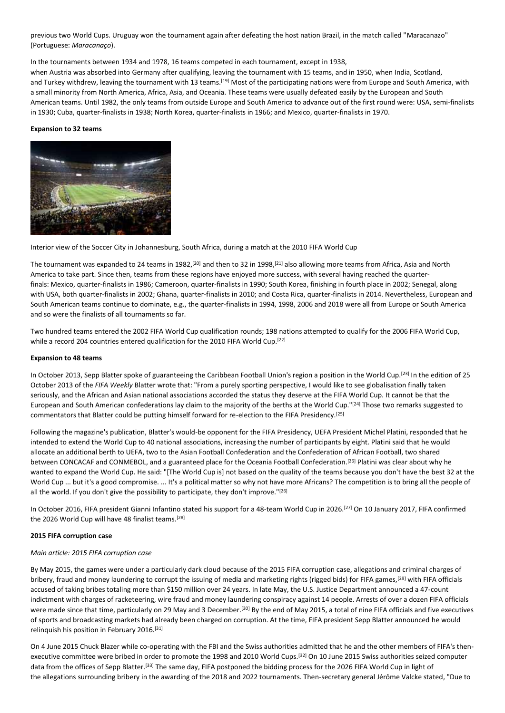previous two World Cups. Uruguay won the tournament again after defeating the host nation Brazil, in the match called "Maracanazo" (Portuguese: *Maracanaço*).

In the tournaments between 1934 and 1978, 16 teams competed in each tournament, except in 1938,

when Austria was absorbed into Germany after qualifying, leaving the tournament with 15 teams, and in 1950, when India, Scotland, and Turkey withdrew, leaving the tournament with 13 teams.<sup>[19]</sup> Most of the participating nations were from Europe and South America, with a small minority from North America, Africa, Asia, and Oceania. These teams were usually defeated easily by the European and South American teams. Until 1982, the only teams from outside Europe and South America to advance out of the first round were: USA, semi-finalists in 1930; Cuba, quarter-finalists in 1938; North Korea, quarter-finalists in 1966; and Mexico, quarter-finalists in 1970.

#### **Expansion to 32 teams**



Interior view of the Soccer City in Johannesburg, South Africa, during a match at the 2010 FIFA World Cup

The tournament was expanded to 24 teams in 1982,<sup>[20]</sup> and then to 32 in 1998,<sup>[21]</sup> also allowing more teams from Africa, Asia and North America to take part. Since then, teams from these regions have enjoyed more success, with several having reached the quarterfinals: Mexico, quarter-finalists in 1986; Cameroon, quarter-finalists in 1990; South Korea, finishing in fourth place in 2002; Senegal, along with USA, both quarter-finalists in 2002; Ghana, quarter-finalists in 2010; and Costa Rica, quarter-finalists in 2014. Nevertheless, European and South American teams continue to dominate, e.g., the quarter-finalists in 1994, 1998, 2006 and 2018 were all from Europe or South America and so were the finalists of all tournaments so far.

Two hundred teams entered the 2002 FIFA World Cup qualification rounds; 198 nations attempted to qualify for the 2006 FIFA World Cup, while a record 204 countries entered qualification for the 2010 FIFA World Cup.<sup>[22]</sup>

#### **Expansion to 48 teams**

In October 2013, Sepp Blatter spoke of guaranteeing the Caribbean Football Union's region a position in the World Cup.<sup>[23]</sup> In the edition of 25 October 2013 of the *FIFA Weekly* Blatter wrote that: "From a purely sporting perspective, I would like to see globalisation finally taken seriously, and the African and Asian national associations accorded the status they deserve at the FIFA World Cup. It cannot be that the European and South American confederations lay claim to the majority of the berths at the World Cup."[24] Those two remarks suggested to commentators that Blatter could be putting himself forward for re-election to the FIFA Presidency.[25]

Following the magazine's publication, Blatter's would-be opponent for the FIFA Presidency, UEFA President Michel Platini, responded that he intended to extend the World Cup to 40 national associations, increasing the number of participants by eight. Platini said that he would allocate an additional berth to UEFA, two to the Asian Football Confederation and the Confederation of African Football, two shared between CONCACAF and CONMEBOL, and a guaranteed place for the Oceania Football Confederation.<sup>[26]</sup> Platini was clear about why he wanted to expand the World Cup. He said: "[The World Cup is] not based on the quality of the teams because you don't have the best 32 at the World Cup ... but it's a good compromise. ... It's a political matter so why not have more Africans? The competition is to bring all the people of all the world. If you don't give the possibility to participate, they don't improve."[26]

In October 2016, FIFA president Gianni Infantino stated his support for a 48-team World Cup in 2026.[27] On 10 January 2017, FIFA confirmed the 2026 World Cup will have 48 finalist teams.<sup>[28]</sup>

### **2015 FIFA corruption case**

#### *Main article: 2015 FIFA corruption case*

By May 2015, the games were under a particularly dark cloud because of the 2015 FIFA corruption case, allegations and criminal charges of bribery, fraud and money laundering to corrupt the issuing of media and marketing rights (rigged bids) for FIFA games,<sup>[29]</sup> with FIFA officials accused of taking bribes totaling more than \$150 million over 24 years. In late May, the U.S. Justice Department announced a 47-count indictment with charges of racketeering, wire fraud and money laundering conspiracy against 14 people. Arrests of over a dozen FIFA officials were made since that time, particularly on 29 May and 3 December.<sup>[30]</sup> By the end of May 2015, a total of nine FIFA officials and five executives of sports and broadcasting markets had already been charged on corruption. At the time, FIFA president Sepp Blatter announced he would relinquish his position in February 2016.[31]

On 4 June 2015 Chuck Blazer while co-operating with the FBI and the Swiss authorities admitted that he and the other members of FIFA's thenexecutive committee were bribed in order to promote the 1998 and 2010 World Cups.[32] On 10 June 2015 Swiss authorities seized computer data from the offices of Sepp Blatter.<sup>[33]</sup> The same day, FIFA postponed the bidding process for the 2026 FIFA World Cup in light of the allegations surrounding bribery in the awarding of the 2018 and 2022 tournaments. Then-secretary general Jérôme Valcke stated, "Due to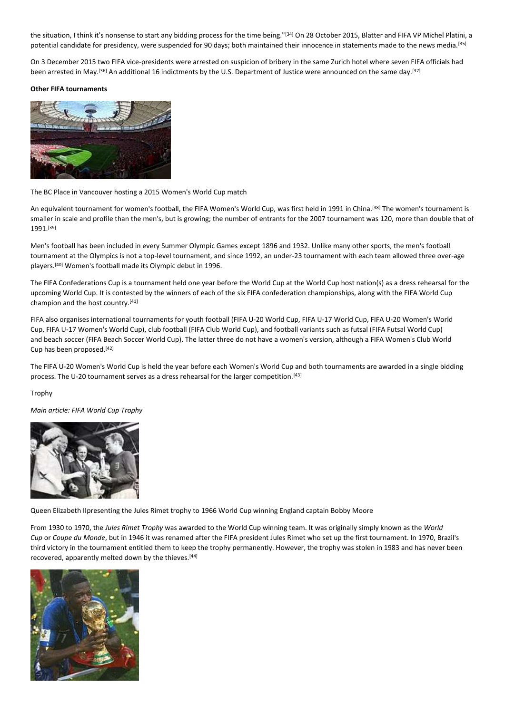the situation, I think it's nonsense to start any bidding process for the time being."[34] On 28 October 2015, Blatter and FIFA VP Michel Platini, a potential candidate for presidency, were suspended for 90 days; both maintained their innocence in statements made to the news media.[35]

On 3 December 2015 two FIFA vice-presidents were arrested on suspicion of bribery in the same Zurich hotel where seven FIFA officials had been arrested in May.<sup>[36]</sup> An additional 16 indictments by the U.S. Department of Justice were announced on the same day.<sup>[37]</sup>

#### **Other FIFA tournaments**



The BC Place in Vancouver hosting a 2015 Women's World Cup match

An equivalent tournament for women's football, the FIFA Women's World Cup, was first held in 1991 in China.<sup>[38]</sup> The women's tournament is smaller in scale and profile than the men's, but is growing; the number of entrants for the 2007 tournament was 120, more than double that of 1991.[39]

Men's football has been included in every Summer Olympic Games except 1896 and 1932. Unlike many other sports, the men's football tournament at the Olympics is not a top-level tournament, and since 1992, an under-23 tournament with each team allowed three over-age players.[40] Women's football made its Olympic debut in 1996.

The FIFA Confederations Cup is a tournament held one year before the World Cup at the World Cup host nation(s) as a dress rehearsal for the upcoming World Cup. It is contested by the winners of each of the six FIFA confederation championships, along with the FIFA World Cup champion and the host country.[41]

FIFA also organises international tournaments for youth football (FIFA U-20 World Cup, FIFA U-17 World Cup, FIFA U-20 Women's World Cup, FIFA U-17 Women's World Cup), club football (FIFA Club World Cup), and football variants such as futsal (FIFA Futsal World Cup) and beach soccer (FIFA Beach Soccer World Cup). The latter three do not have a women's version, although a FIFA Women's Club World Cup has been proposed.[42]

The FIFA U-20 Women's World Cup is held the year before each Women's World Cup and both tournaments are awarded in a single bidding process. The U-20 tournament serves as a dress rehearsal for the larger competition.<sup>[43]</sup>

Trophy

*Main article: FIFA World Cup Trophy*



Queen Elizabeth IIpresenting the Jules Rimet trophy to 1966 World Cup winning England captain Bobby Moore

From 1930 to 1970, the *Jules Rimet Trophy* was awarded to the World Cup winning team. It was originally simply known as the *World Cup* or *Coupe du Monde*, but in 1946 it was renamed after the FIFA president Jules Rimet who set up the first tournament. In 1970, Brazil's third victory in the tournament entitled them to keep the trophy permanently. However, the trophy was stolen in 1983 and has never been recovered, apparently melted down by the thieves.<sup>[44]</sup>

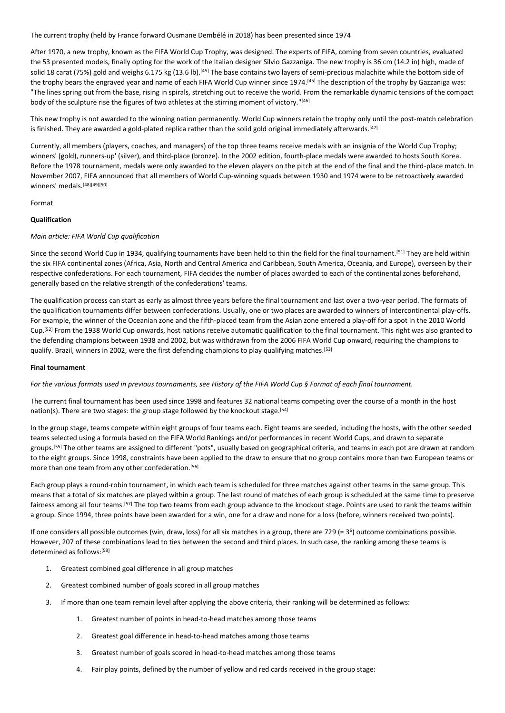The current trophy (held by France forward Ousmane Dembélé in 2018) has been presented since 1974

After 1970, a new trophy, known as the FIFA World Cup Trophy, was designed. The experts of FIFA, coming from seven countries, evaluated the 53 presented models, finally opting for the work of the Italian designer Silvio Gazzaniga. The new trophy is 36 cm (14.2 in) high, made of solid 18 carat (75%) gold and weighs 6.175 kg (13.6 lb).<sup>[45]</sup> The base contains two layers of semi-precious malachite while the bottom side of the trophy bears the engraved year and name of each FIFA World Cup winner since 1974.<sup>[45]</sup> The description of the trophy by Gazzaniga was: "The lines spring out from the base, rising in spirals, stretching out to receive the world. From the remarkable dynamic tensions of the compact body of the sculpture rise the figures of two athletes at the stirring moment of victory."[46]

This new trophy is not awarded to the winning nation permanently. World Cup winners retain the trophy only until the post-match celebration is finished. They are awarded a gold-plated replica rather than the solid gold original immediately afterwards.<sup>[47]</sup>

Currently, all members (players, coaches, and managers) of the top three teams receive medals with an insignia of the World Cup Trophy; winners' (gold), runners-up' (silver), and third-place (bronze). In the 2002 edition, fourth-place medals were awarded to hosts South Korea. Before the 1978 tournament, medals were only awarded to the eleven players on the pitch at the end of the final and the third-place match. In November 2007, FIFA announced that all members of World Cup-winning squads between 1930 and 1974 were to be retroactively awarded winners' medals.<sup>[48][49][50]</sup>

#### Format

### **Qualification**

#### *Main article: FIFA World Cup qualification*

Since the second World Cup in 1934, qualifying tournaments have been held to thin the field for the final tournament.<sup>[51]</sup> They are held within the six FIFA continental zones (Africa, Asia, North and Central America and Caribbean, South America, Oceania, and Europe), overseen by their respective confederations. For each tournament, FIFA decides the number of places awarded to each of the continental zones beforehand, generally based on the relative strength of the confederations' teams.

The qualification process can start as early as almost three years before the final tournament and last over a two-year period. The formats of the qualification tournaments differ between confederations. Usually, one or two places are awarded to winners of intercontinental play-offs. For example, the winner of the Oceanian zone and the fifth-placed team from the Asian zone entered a play-off for a spot in the 2010 World Cup.<sup>[52]</sup> From the 1938 World Cup onwards, host nations receive automatic qualification to the final tournament. This right was also granted to the defending champions between 1938 and 2002, but was withdrawn from the 2006 FIFA World Cup onward, requiring the champions to qualify. Brazil, winners in 2002, were the first defending champions to play qualifying matches.<sup>[53]</sup>

#### **Final tournament**

*For the various formats used in previous tournaments, see History of the FIFA World Cup § Format of each final tournament.*

The current final tournament has been used since 1998 and features 32 national teams competing over the course of a month in the host nation(s). There are two stages: the group stage followed by the knockout stage.<sup>[54]</sup>

In the group stage, teams compete within eight groups of four teams each. Eight teams are seeded, including the hosts, with the other seeded teams selected using a formula based on the FIFA World Rankings and/or performances in recent World Cups, and drawn to separate groups.[55] The other teams are assigned to different "pots", usually based on geographical criteria, and teams in each pot are drawn at random to the eight groups. Since 1998, constraints have been applied to the draw to ensure that no group contains more than two European teams or more than one team from any other confederation.<sup>[56]</sup>

Each group plays a round-robin tournament, in which each team is scheduled for three matches against other teams in the same group. This means that a total of six matches are played within a group. The last round of matches of each group is scheduled at the same time to preserve fairness among all four teams.<sup>[57]</sup> The top two teams from each group advance to the knockout stage. Points are used to rank the teams within a group. Since 1994, three points have been awarded for a win, one for a draw and none for a loss (before, winners received two points).

If one considers all possible outcomes (win, draw, loss) for all six matches in a group, there are 729 (= 3<sup>6</sup>) outcome combinations possible. However, 207 of these combinations lead to ties between the second and third places. In such case, the ranking among these teams is determined as follows:[58]

- 1. Greatest combined goal difference in all group matches
- 2. Greatest combined number of goals scored in all group matches
- 3. If more than one team remain level after applying the above criteria, their ranking will be determined as follows:
	- 1. Greatest number of points in head-to-head matches among those teams
	- 2. Greatest goal difference in head-to-head matches among those teams
	- 3. Greatest number of goals scored in head-to-head matches among those teams
	- 4. Fair play points, defined by the number of yellow and red cards received in the group stage: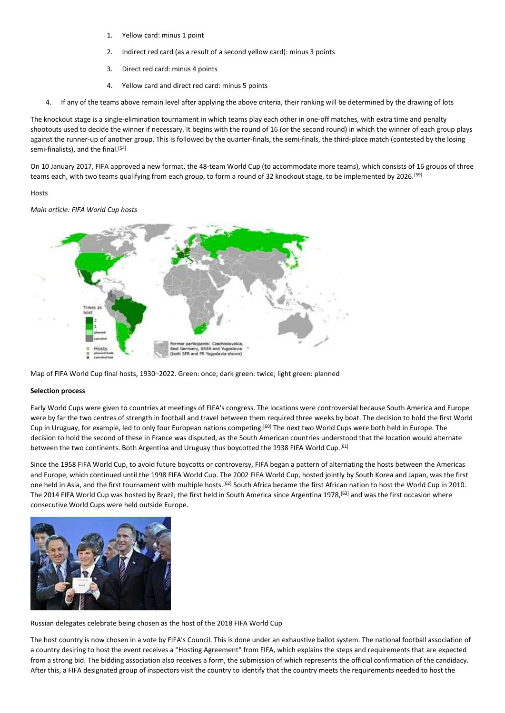- 1. Yellow card: minus 1 point
- 2. Indirect red card (as a result of a second yellow card): minus 3 points
- 3. Direct red card: minus 4 points
- 4. Yellow card and direct red card: minus 5 points
- 4. If any of the teams above remain level after applying the above criteria, their ranking will be determined by the drawing of lots

The knockout stage is a single-elimination tournament in which teams play each other in one-off matches, with extra time and penalty shootouts used to decide the winner if necessary. It begins with the round of 16 (or the second round) in which the winner of each group plays against the runner-up of another group. This is followed by the quarter-finals, the semi-finals, the third-place match (contested by the losing semi-finalists), and the final.<sup>[54]</sup>

On 10 January 2017, FIFA approved a new format, the 48-team World Cup (to accommodate more teams), which consists of 16 groups of three teams each, with two teams qualifying from each group, to form a round of 32 knockout stage, to be implemented by 2026.<sup>[59]</sup>

### **Hosts**

*Main article: FIFA World Cup hosts*



Map of FIFA World Cup final hosts, 1930–2022. Green: once; dark green: twice; light green: planned

### **Selection process**

Early World Cups were given to countries at meetings of FIFA's congress. The locations were controversial because South America and Europe were by far the two centres of strength in football and travel between them required three weeks by boat. The decision to hold the first World Cup in Uruguay, for example, led to only four European nations competing.[60] The next two World Cups were both held in Europe. The decision to hold the second of these in France was disputed, as the South American countries understood that the location would alternate between the two continents. Both Argentina and Uruguay thus boycotted the 1938 FIFA World Cup.<sup>[61]</sup>

Since the 1958 FIFA World Cup, to avoid future boycotts or controversy, FIFA began a pattern of alternating the hosts between the Americas and Europe, which continued until the 1998 FIFA World Cup. The 2002 FIFA World Cup, hosted jointly by South Korea and Japan, was the first one held in Asia, and the first tournament with multiple hosts.[62] South Africa became the first African nation to host the World Cup in 2010. The 2014 FIFA World Cup was hosted by Brazil, the first held in South America since Argentina 1978,<sup>[63]</sup> and was the first occasion where consecutive World Cups were held outside Europe.



Russian delegates celebrate being chosen as the host of the 2018 FIFA World Cup

The host country is now chosen in a vote by FIFA's Council. This is done under an exhaustive ballot system. The national football association of a country desiring to host the event receives a "Hosting Agreement" from FIFA, which explains the steps and requirements that are expected from a strong bid. The bidding association also receives a form, the submission of which represents the official confirmation of the candidacy. After this, a FIFA designated group of inspectors visit the country to identify that the country meets the requirements needed to host the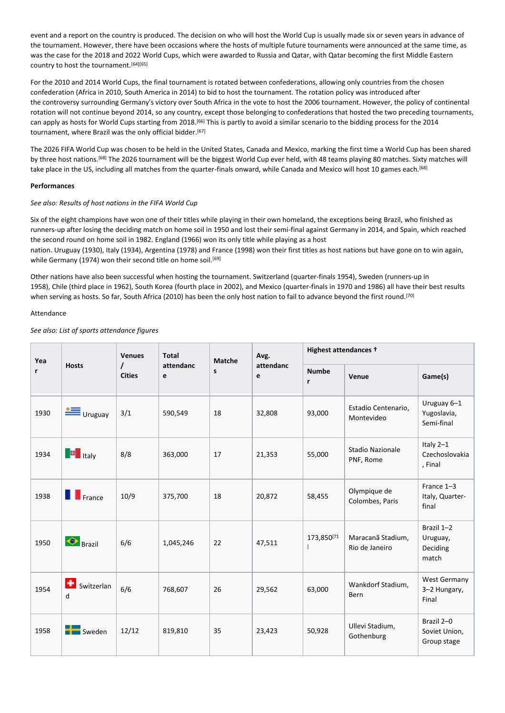event and a report on the country is produced. The decision on who will host the World Cup is usually made six or seven years in advance of the tournament. However, there have been occasions where the hosts of multiple future tournaments were announced at the same time, as was the case for the 2018 and 2022 World Cups, which were awarded to Russia and Qatar, with Qatar becoming the first Middle Eastern country to host the tournament.<sup>[64][65]</sup>

For the 2010 and 2014 World Cups, the final tournament is rotated between confederations, allowing only countries from the chosen confederation (Africa in 2010, South America in 2014) to bid to host the tournament. The rotation policy was introduced after the controversy surrounding Germany's victory over South Africa in the vote to host the 2006 tournament. However, the policy of continental rotation will not continue beyond 2014, so any country, except those belonging to confederations that hosted the two preceding tournaments, can apply as hosts for World Cups starting from 2018.<sup>[66]</sup> This is partly to avoid a similar scenario to the bidding process for the 2014 tournament, where Brazil was the only official bidder.<sup>[67]</sup>

The 2026 FIFA World Cup was chosen to be held in the United States, Canada and Mexico, marking the first time a World Cup has been shared by three host nations.<sup>[68]</sup> The 2026 tournament will be the biggest World Cup ever held, with 48 teams playing 80 matches. Sixty matches will take place in the US, including all matches from the quarter-finals onward, while Canada and Mexico will host 10 games each.[68]

### **Performances**

### *See also: Results of host nations in the FIFA World Cup*

Six of the eight champions have won one of their titles while playing in their own homeland, the exceptions being Brazil, who finished as runners-up after losing the deciding match on home soil in 1950 and lost their semi-final against Germany in 2014, and Spain, which reached the second round on home soil in 1982. England (1966) won its only title while playing as a host nation. Uruguay (1930), Italy (1934), Argentina (1978) and France (1998) won their first titles as host nations but have gone on to win again, while Germany (1974) won their second title on home soil.<sup>[69]</sup>

Other nations have also been successful when hosting the tournament. Switzerland (quarter-finals 1954), Sweden (runners-up in 1958), Chile (third place in 1962), South Korea (fourth place in 2002), and Mexico (quarter-finals in 1970 and 1986) all have their best results when serving as hosts. So far, South Africa (2010) has been the only host nation to fail to advance beyond the first round.<sup>[70]</sup>

### Attendance

### *See also: List of sports attendance figures*

| Yea  |                       | <b>Venues</b>      | <b>Total</b><br>Avg.<br><b>Matche</b> |    |                | Highest attendances +      |                                     |                                             |  |
|------|-----------------------|--------------------|---------------------------------------|----|----------------|----------------------------|-------------------------------------|---------------------------------------------|--|
| r    | <b>Hosts</b>          | I<br><b>Cities</b> | attendanc<br>e                        | s  | attendanc<br>e | <b>Numbe</b><br>r          | Venue                               | Game(s)                                     |  |
| 1930 | $\equiv$ Uruguay      | 3/1                | 590,549                               | 18 | 32,808         | 93,000                     | Estadio Centenario,<br>Montevideo   | Uruguay 6-1<br>Yugoslavia,<br>Semi-final    |  |
| 1934 | <b>F</b> Italy        | 8/8                | 363,000                               | 17 | 21,353         | 55,000                     | Stadio Nazionale<br>PNF, Rome       | Italy 2-1<br>Czechoslovakia<br>, Final      |  |
| 1938 | $\blacksquare$ France | 10/9               | 375,700                               | 18 | 20,872         | 58,455                     | Olympique de<br>Colombes, Paris     | France 1-3<br>Italy, Quarter-<br>final      |  |
| 1950 | $\bigodot$ Brazil     | 6/6                | 1,045,246                             | 22 | 47,511         | 173,850[71<br>$\mathbf{I}$ | Maracanã Stadium,<br>Rio de Janeiro | Brazil 1-2<br>Uruguay,<br>Deciding<br>match |  |
| 1954 | ٠<br>Switzerlan<br>d  | 6/6                | 768,607                               | 26 | 29,562         | 63,000                     | Wankdorf Stadium,<br><b>Bern</b>    | West Germany<br>3-2 Hungary,<br>Final       |  |
| 1958 | $\blacksquare$ Sweden | 12/12              | 819,810                               | 35 | 23,423         | 50,928                     | Ullevi Stadium,<br>Gothenburg       | Brazil 2-0<br>Soviet Union,<br>Group stage  |  |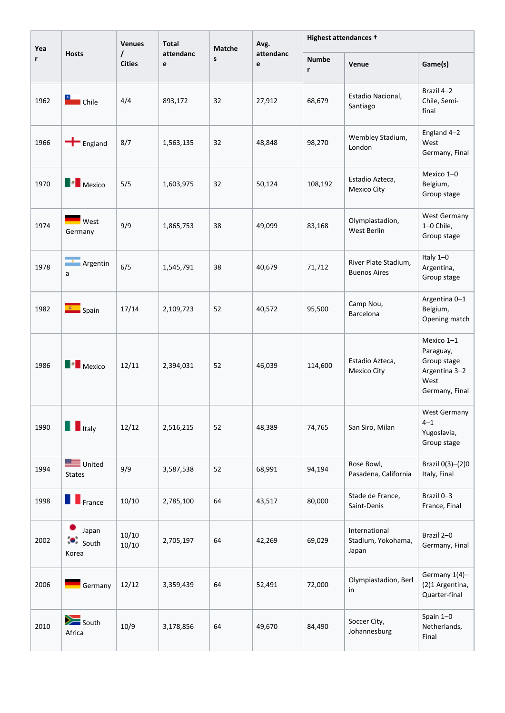| Yea  |                                 | <b>Venues</b>             | <b>Total</b>   | Matche | Avg.           | Highest attendances + |                                              |                                                                                   |  |
|------|---------------------------------|---------------------------|----------------|--------|----------------|-----------------------|----------------------------------------------|-----------------------------------------------------------------------------------|--|
| r    | <b>Hosts</b>                    | $\prime$<br><b>Cities</b> | attendanc<br>e | S      | attendanc<br>e | <b>Numbe</b><br>r     | Venue                                        | Game(s)                                                                           |  |
| 1962 | <b>Exercise</b><br><b>Chile</b> | 4/4                       | 893,172        | 32     | 27,912         | 68,679                | Estadio Nacional,<br>Santiago                | Brazil 4-2<br>Chile, Semi-<br>final                                               |  |
| 1966 | $\blacksquare$ England          | 8/7                       | 1,563,135      | 32     | 48,848         | 98,270                | Wembley Stadium,<br>London                   | England 4-2<br>West<br>Germany, Final                                             |  |
| 1970 | <b>Nexico</b>                   | 5/5                       | 1,603,975      | 32     | 50,124         | 108,192               | Estadio Azteca,<br>Mexico City               | Mexico 1-0<br>Belgium,<br>Group stage                                             |  |
| 1974 | West<br>Germany                 | 9/9                       | 1,865,753      | 38     | 49,099         | 83,168                | Olympiastadion,<br>West Berlin               | <b>West Germany</b><br>1-0 Chile,<br>Group stage                                  |  |
| 1978 | Argentin<br>a                   | 6/5                       | 1,545,791      | 38     | 40,679         | 71,712                | River Plate Stadium,<br><b>Buenos Aires</b>  | Italy 1-0<br>Argentina,<br>Group stage                                            |  |
| 1982 | $\left  \cdot \right $ Spain    | 17/14                     | 2,109,723      | 52     | 40,572         | 95,500                | Camp Nou,<br>Barcelona                       | Argentina 0-1<br>Belgium,<br>Opening match                                        |  |
| 1986 | <b>Nexico</b>                   | 12/11                     | 2,394,031      | 52     | 46,039         | 114,600               | Estadio Azteca,<br>Mexico City               | Mexico 1-1<br>Paraguay,<br>Group stage<br>Argentina 3-2<br>West<br>Germany, Final |  |
| 1990 | $\blacksquare$ Italy            | 12/12                     | 2,516,215      | 52     | 48,389         | 74,765                | San Siro, Milan                              | West Germany<br>$4 - 1$<br>Yugoslavia,<br>Group stage                             |  |
| 1994 | United<br><b>States</b>         | 9/9                       | 3,587,538      | 52     | 68,991         | 94,194                | Rose Bowl,<br>Pasadena, California           | Brazil 0(3)-(2)0<br>Italy, Final                                                  |  |
| 1998 | <b>T</b> France                 | 10/10                     | 2,785,100      | 64     | 43,517         | 80,000                | Stade de France,<br>Saint-Denis              | Brazil 0-3<br>France, Final                                                       |  |
| 2002 | Japan<br>;●,<br>South<br>Korea  | 10/10<br>10/10            | 2,705,197      | 64     | 42,269         | 69,029                | International<br>Stadium, Yokohama,<br>Japan | Brazil 2-0<br>Germany, Final                                                      |  |
| 2006 | Germany                         | 12/12                     | 3,359,439      | 64     | 52,491         | 72,000                | Olympiastadion, Berl<br>in                   | Germany 1(4)-<br>(2)1 Argentina,<br>Quarter-final                                 |  |
| 2010 | $\sum$ South<br>Africa          | 10/9                      | 3,178,856      | 64     | 49,670         | 84,490                | Soccer City,<br>Johannesburg                 | Spain 1-0<br>Netherlands,<br>Final                                                |  |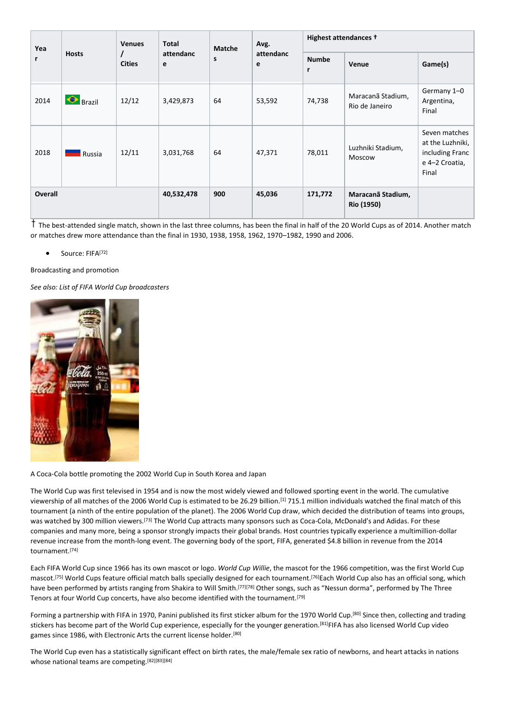| Yea            |                   | <b>Total</b><br><b>Venues</b><br>Avg.<br><b>Matche</b><br>attendanc | Highest attendances + |     |                |                              |                                        |                                                                                 |
|----------------|-------------------|---------------------------------------------------------------------|-----------------------|-----|----------------|------------------------------|----------------------------------------|---------------------------------------------------------------------------------|
| r              | <b>Hosts</b>      | <b>Cities</b>                                                       | e                     | s   | attendanc<br>e | <b>Numbe</b><br>$\mathbf{r}$ | Venue                                  | Game(s)                                                                         |
| 2014           | $\bigodot$ Brazil | 12/12                                                               | 3,429,873             | 64  | 53,592         | 74,738                       | Maracanã Stadium,<br>Rio de Janeiro    | Germany 1-0<br>Argentina,<br>Final                                              |
| 2018           | Russia            | 12/11                                                               | 3,031,768             | 64  | 47,371         | 78,011                       | Luzhniki Stadium,<br>Moscow            | Seven matches<br>at the Luzhniki,<br>including Franc<br>e 4-2 Croatia,<br>Final |
| <b>Overall</b> |                   |                                                                     | 40,532,478            | 900 | 45,036         | 171,772                      | Maracanã Stadium,<br><b>Rio (1950)</b> |                                                                                 |

The best-attended single match, shown in the last three columns, has been the final in half of the 20 World Cups as of 2014. Another match or matches drew more attendance than the final in 1930, 1938, 1958, 1962, 1970–1982, 1990 and 2006.

### Source: FIFA<sup>[72]</sup>

Broadcasting and promotion

*See also: List of FIFA World Cup broadcasters*



A Coca-Cola bottle promoting the 2002 World Cup in South Korea and Japan

The World Cup was first televised in 1954 and is now the most widely viewed and followed sporting event in the world. The cumulative viewership of all matches of the 2006 World Cup is estimated to be 26.29 billion.[1] 715.1 million individuals watched the final match of this tournament (a ninth of the entire population of the planet). The 2006 World Cup draw, which decided the distribution of teams into groups, was watched by 300 million viewers.[73] The World Cup attracts many sponsors such as Coca-Cola, McDonald's and Adidas. For these companies and many more, being a sponsor strongly impacts their global brands. Host countries typically experience a multimillion-dollar revenue increase from the month-long event. The governing body of the sport, FIFA, generated \$4.8 billion in revenue from the 2014 tournament. [74]

Each FIFA World Cup since 1966 has its own mascot or logo. *World Cup Willie*, the mascot for the 1966 competition, was the first World Cup mascot.<sup>[75]</sup> World Cups feature official match balls specially designed for each tournament.<sup>[76]</sup>Each World Cup also has an official song, which have been performed by artists ranging from Shakira to Will Smith.<sup>[77][78]</sup> Other songs, such as "Nessun dorma", performed by The Three Tenors at four World Cup concerts, have also become identified with the tournament.<sup>[79]</sup>

Forming a partnership with FIFA in 1970, Panini published its first sticker album for the 1970 World Cup.[80] Since then, collecting and trading stickers has become part of the World Cup experience, especially for the younger generation.<sup>[81]</sup>FIFA has also licensed World Cup video games since 1986, with Electronic Arts the current license holder.[80]

The World Cup even has a statistically significant effect on birth rates, the male/female sex ratio of newborns, and heart attacks in nations whose national teams are competing.<sup>[82][83][84]</sup>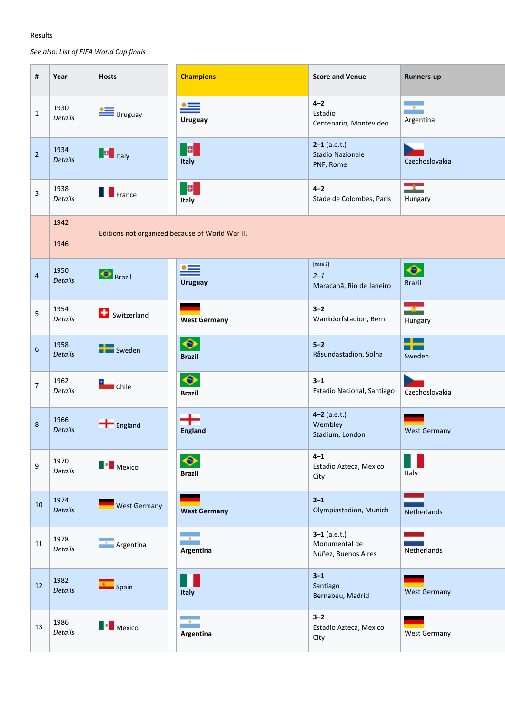# Results

*See also: List of FIFA World Cup finals*

| #               | Year                   | <b>Hosts</b>                                                                                                                                                                                                                                                                                                                                                                                                                                                                       | <b>Champions</b>                             | <b>Score and Venue</b>                                 | Runners-up                       |
|-----------------|------------------------|------------------------------------------------------------------------------------------------------------------------------------------------------------------------------------------------------------------------------------------------------------------------------------------------------------------------------------------------------------------------------------------------------------------------------------------------------------------------------------|----------------------------------------------|--------------------------------------------------------|----------------------------------|
| $\mathbf{1}$    | 1930<br>Details        | $\equiv$ Uruguay                                                                                                                                                                                                                                                                                                                                                                                                                                                                   | $\stackrel{\bullet =}{=}$<br>Uruguay         | $4 - 2$<br>Estadio<br>Centenario, Montevideo           | ÷<br>Argentina                   |
| $\overline{2}$  | 1934<br>Details        | $\left\  \mathbf{B} \right\ $ Italy                                                                                                                                                                                                                                                                                                                                                                                                                                                | B.<br>Italy                                  | $2-1$ (a.e.t.)<br><b>Stadio Nazionale</b><br>PNF, Rome | <b>Service</b><br>Czechoslovakia |
| $\overline{3}$  | 1938<br>Details        | $\blacksquare$ France                                                                                                                                                                                                                                                                                                                                                                                                                                                              | $\vert \mathbf{B} \vert$<br>Italy            | $4 - 2$<br>Stade de Colombes, Paris                    | $\rightarrow$<br>Hungary         |
|                 | 1942<br>1946           | Editions not organized because of World War II.                                                                                                                                                                                                                                                                                                                                                                                                                                    |                                              |                                                        |                                  |
| $\overline{4}$  | 1950<br>Details        | <b>Brazil</b>                                                                                                                                                                                                                                                                                                                                                                                                                                                                      | ≝<br><b>Uruguay</b>                          | [note 2]<br>$2 - 1$<br>Maracanã, Rio de Janeiro        | $\bullet$<br><b>Brazil</b>       |
| $5\overline{)}$ | 1954<br>Details        | <b>D</b> Switzerland                                                                                                                                                                                                                                                                                                                                                                                                                                                               | <b>West Germany</b>                          | $3 - 2$<br>Wankdorfstadion, Bern                       | ang p<br>Hungary                 |
| $6\overline{6}$ | 1958<br>Details        | Sweden                                                                                                                                                                                                                                                                                                                                                                                                                                                                             | $\color{blue}\blacklozenge$<br><b>Brazil</b> | $5-2$<br>Råsundastadion, Solna                         | ╈<br>Sweden                      |
| $\overline{7}$  | 1962<br>Details        | <b>Electric</b> Chile                                                                                                                                                                                                                                                                                                                                                                                                                                                              | $\bullet$<br><b>Brazil</b>                   | $3 - 1$<br>Estadio Nacional, Santiago                  | Czechoslovakia                   |
| $8\phantom{.}$  | 1966<br><b>Details</b> | $\left  \rule{0cm}{0.4cm} \right $ England                                                                                                                                                                                                                                                                                                                                                                                                                                         | +<br><b>England</b>                          | $4-2$ (a.e.t.)<br>Wembley<br>Stadium, London           | <b>West Germany</b>              |
| 9               | 1970<br>Details        | $\begin{array}{ c c } \hline \multicolumn{1}{ c }{\quad \quad} \multicolumn{1}{ c }{\quad \quad} \multicolumn{1}{ c }{\quad \quad} \multicolumn{1}{ c }{\quad \quad} \multicolumn{1}{ c }{\quad \quad} \multicolumn{1}{ c }{\quad \quad} \multicolumn{1}{ c }{\quad \quad} \multicolumn{1}{ c }{\quad \quad} \multicolumn{1}{ c }{\quad \quad} \multicolumn{1}{ c }{\quad \quad} \multicolumn{1}{ c }{\quad \quad} \multicolumn{1}{ c }{\quad \quad} \multicolumn{1}{ c }{\quad \$ | $\bullet$<br><b>Brazil</b>                   | $4 - 1$<br>Estadio Azteca, Mexico<br>City              | H.<br>Italy                      |
| 10              | 1974<br>Details        | West Germany                                                                                                                                                                                                                                                                                                                                                                                                                                                                       | <b>West Germany</b>                          | $2 - 1$<br>Olympiastadion, Munich                      | Netherlands                      |
| 11              | 1978<br>Details        | <b>Argentina</b>                                                                                                                                                                                                                                                                                                                                                                                                                                                                   | ш.<br>Argentina                              | $3-1$ (a.e.t.)<br>Monumental de<br>Núñez, Buenos Aires | Netherlands                      |
| 12              | 1982<br>Details        | <b>C</b> Spain                                                                                                                                                                                                                                                                                                                                                                                                                                                                     | $\blacksquare$<br>Italy                      | $3 - 1$<br>Santiago<br>Bernabéu, Madrid                | <b>West Germany</b>              |
| 13              | 1986<br>Details        | $\begin{array}{ c c } \hline \multicolumn{1}{ c }{\multicolumn{1}{c }{\multicolumn{1}{c }{\multicolumn{1}{c }{\multicolumn{1}{c}}}} \hline \multicolumn{1}{c }{\multicolumn{1}{c }{\multicolumn{1}{c }{\multicolumn{1}{c }{\multicolumn{1}{c }{\multicolumn{1}{c }{\multicolumn{1}{c }{\multicolumn{1}{c}}}}}} \hline \multicolumn{1}{c }{\hline \multicolumn{1}{c }{\hline \multicolumn{1}{c }{\hline \multicolumn{1}{c }{\hline \multicolumn{1}{c }{\hline \multic$              | ÷.<br>Argentina                              | $3 - 2$<br>Estadio Azteca, Mexico<br>City              | West Germany                     |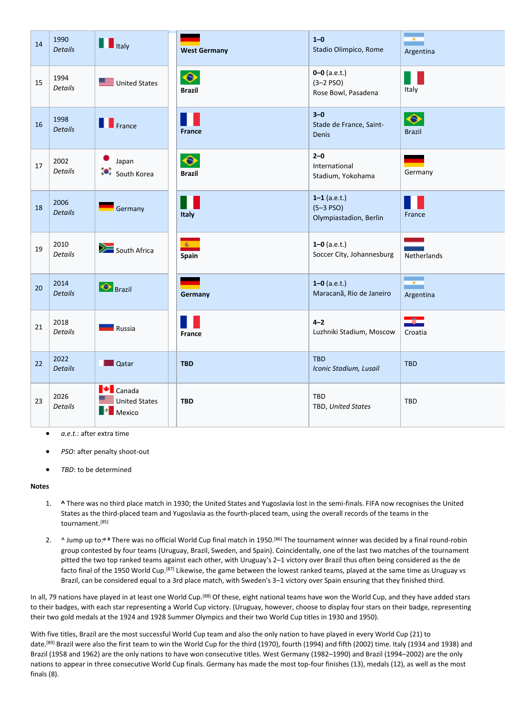| 14 | 1990<br>Details | <b>THE Italy</b>                                                                                                                                                                                                                                                                                                                                                                                                                                                                                              | <b>West Germany</b>                                                                                                                                                                                                                                                                                                                                                  | $1 - 0$<br>Stadio Olimpico, Rome                          | --<br>Argentina                                              |
|----|-----------------|---------------------------------------------------------------------------------------------------------------------------------------------------------------------------------------------------------------------------------------------------------------------------------------------------------------------------------------------------------------------------------------------------------------------------------------------------------------------------------------------------------------|----------------------------------------------------------------------------------------------------------------------------------------------------------------------------------------------------------------------------------------------------------------------------------------------------------------------------------------------------------------------|-----------------------------------------------------------|--------------------------------------------------------------|
| 15 | 1994<br>Details | United States                                                                                                                                                                                                                                                                                                                                                                                                                                                                                                 | $\bullet$<br><b>Brazil</b>                                                                                                                                                                                                                                                                                                                                           | $0 - 0$ (a.e.t.)<br>$(3 - 2)$ PSO)<br>Rose Bowl, Pasadena | M.<br>Italy                                                  |
| 16 | 1998<br>Details | <b>T</b> France                                                                                                                                                                                                                                                                                                                                                                                                                                                                                               | Ш<br>France                                                                                                                                                                                                                                                                                                                                                          | $3 - 0$<br>Stade de France, Saint-<br>Denis               | $\bullet$<br><b>Brazil</b>                                   |
| 17 | 2002<br>Details | $\bullet$ Japan<br>ं•<br>◆ South Korea                                                                                                                                                                                                                                                                                                                                                                                                                                                                        | $\begin{picture}(20,20) \put(0,0){\line(1,0){10}} \put(15,0){\line(1,0){10}} \put(15,0){\line(1,0){10}} \put(15,0){\line(1,0){10}} \put(15,0){\line(1,0){10}} \put(15,0){\line(1,0){10}} \put(15,0){\line(1,0){10}} \put(15,0){\line(1,0){10}} \put(15,0){\line(1,0){10}} \put(15,0){\line(1,0){10}} \put(15,0){\line(1,0){10}} \put(15,0){\line(1$<br><b>Brazil</b> | $2 - 0$<br>International<br>Stadium, Yokohama             | Germany                                                      |
| 18 | 2006<br>Details | Germany                                                                                                                                                                                                                                                                                                                                                                                                                                                                                                       | Ш<br>Italy                                                                                                                                                                                                                                                                                                                                                           | $1-1$ (a.e.t.)<br>$(5-3$ PSO)<br>Olympiastadion, Berlin   | H.<br>France                                                 |
| 19 | 2010<br>Details | South Africa                                                                                                                                                                                                                                                                                                                                                                                                                                                                                                  | $\overline{\mathbf{z}}$<br>Spain                                                                                                                                                                                                                                                                                                                                     | $1 - 0$ (a.e.t.)<br>Soccer City, Johannesburg             | $\sim 10^{11}$ m $^{-1}$<br><b>STATISTICS</b><br>Netherlands |
| 20 | 2014<br>Details | <b>Brazil</b>                                                                                                                                                                                                                                                                                                                                                                                                                                                                                                 | Germany                                                                                                                                                                                                                                                                                                                                                              | $1-0$ (a.e.t.)<br>Maracanã, Rio de Janeiro                | ÷<br>Argentina                                               |
| 21 | 2018<br>Details | <b>NASCER</b> Russia                                                                                                                                                                                                                                                                                                                                                                                                                                                                                          | B H<br>France                                                                                                                                                                                                                                                                                                                                                        | $4 - 2$<br>Luzhniki Stadium, Moscow                       | $\bullet$<br>Croatia                                         |
| 22 | 2022<br>Details | <b>Qatar</b>                                                                                                                                                                                                                                                                                                                                                                                                                                                                                                  | <b>TBD</b>                                                                                                                                                                                                                                                                                                                                                           | TBD<br>Iconic Stadium, Lusail                             | TBD                                                          |
| 23 | 2026<br>Details | $\blacksquare$ Canada<br>United States<br>$\begin{array}{ c c } \hline \multicolumn{1}{ c }{\multicolumn{1}{c }{\multicolumn{1}{c }{\multicolumn{1}{c }{\multicolumn{1}{c }{\multicolumn{1}{c }{\multicolumn{1}{c }{\multicolumn{1}{c }{\multicolumn{1}{c}}}}}}}} \\\hline \multicolumn{1}{ c }{\hline \multicolumn{1}{ c }{\hline \multicolumn{1}{c }{\hline \multicolumn{1}{c }{\hline \multicolumn{1}{c }{\hline \multicolumn{1}{c }{\hline \multicolumn{1}{c }{\hline \multicolumn{1}{c }{\hline \multic$ | <b>TBD</b>                                                                                                                                                                                                                                                                                                                                                           | TBD<br>TBD, United States                                 | TBD                                                          |

- *a.e.t.*: after extra time
- *PSO*: after penalty shoot-out
- *TBD*: to be determined

#### **Notes**

- 1. **^** There was no third place match in 1930; the United States and Yugoslavia lost in the semi-finals. FIFA now recognises the United States as the third-placed team and Yugoslavia as the fourth-placed team, using the overall records of the teams in the tournament.[85]
- 2. ^ Jump up to:*<sup>a</sup> <sup>b</sup>* There was no official World Cup final match in 1950.[86] The tournament winner was decided by a final round-robin group contested by four teams (Uruguay, Brazil, Sweden, and Spain). Coincidentally, one of the last two matches of the tournament pitted the two top ranked teams against each other, with Uruguay's 2–1 victory over Brazil thus often being considered as the de facto final of the 1950 World Cup.<sup>[87]</sup> Likewise, the game between the lowest ranked teams, played at the same time as Uruguay vs Brazil, can be considered equal to a 3rd place match, with Sweden's 3–1 victory over Spain ensuring that they finished third.

In all, 79 nations have played in at least one World Cup.<sup>[88]</sup> Of these, eight national teams have won the World Cup, and they have added stars to their badges, with each star representing a World Cup victory. (Uruguay, however, choose to display four stars on their badge, representing their two gold medals at the 1924 and 1928 Summer Olympics and their two World Cup titles in 1930 and 1950).

With five titles, Brazil are the most successful World Cup team and also the only nation to have played in every World Cup (21) to date.[89] Brazil were also the first team to win the World Cup for the third (1970), fourth (1994) and fifth (2002) time. Italy (1934 and 1938) and Brazil (1958 and 1962) are the only nations to have won consecutive titles. West Germany (1982–1990) and Brazil (1994–2002) are the only nations to appear in three consecutive World Cup finals. Germany has made the most top-four finishes (13), medals (12), as well as the most finals (8).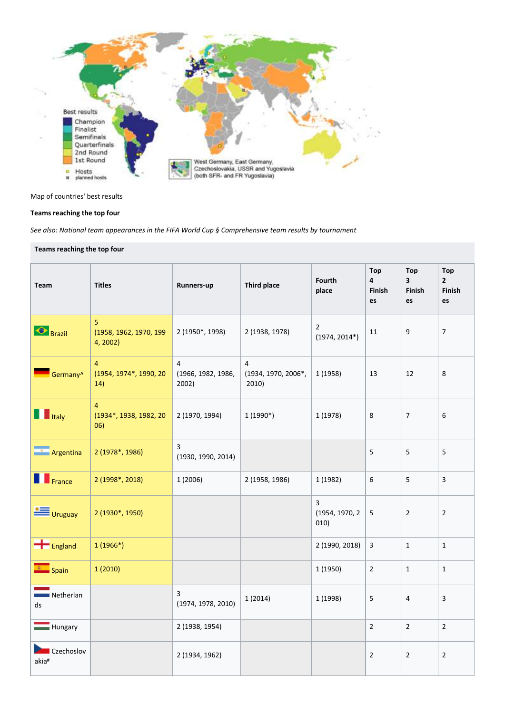

### Map of countries' best results

### **Teams reaching the top four**

*See also: National team appearances in the FIFA World Cup § Comprehensive team results by tournament*

| Teams reaching the top four |                                                 |                                               |                                                |                                   |                          |                                                       |                                              |  |  |  |
|-----------------------------|-------------------------------------------------|-----------------------------------------------|------------------------------------------------|-----------------------------------|--------------------------|-------------------------------------------------------|----------------------------------------------|--|--|--|
| Team                        | <b>Titles</b>                                   | Runners-up                                    | <b>Third place</b>                             | <b>Fourth</b><br>place            | Top<br>4<br>Finish<br>es | <b>Top</b><br>$\overline{\mathbf{3}}$<br>Finish<br>es | <b>Top</b><br>$\overline{2}$<br>Finish<br>es |  |  |  |
| $\bigotimes$ Brazil         | 5<br>(1958, 1962, 1970, 199<br>4, 2002)         | 2 (1950*, 1998)                               | 2 (1938, 1978)                                 | $\overline{2}$<br>$(1974, 2014*)$ | 11                       | 9                                                     | $\overline{7}$                               |  |  |  |
| Germany <sup>^</sup>        | $\overline{4}$<br>(1954, 1974*, 1990, 20<br>14) | $\overline{4}$<br>(1966, 1982, 1986,<br>2002) | $\overline{4}$<br>(1934, 1970, 2006*,<br>2010) | 1 (1958)                          | 13                       | 12                                                    | 8                                            |  |  |  |
| <b>THE Italy</b>            | $\overline{4}$<br>(1934*, 1938, 1982, 20<br>06) | 2 (1970, 1994)                                | $1(1990*)$                                     | 1 (1978)                          | 8                        | $\overline{7}$                                        | 6                                            |  |  |  |
| <b>Argentina</b>            | 2 (1978*, 1986)                                 | 3<br>(1930, 1990, 2014)                       |                                                |                                   | 5                        | 5                                                     | 5                                            |  |  |  |
| F <sub>rance</sub>          | 2 (1998*, 2018)                                 | 1 (2006)                                      | 2 (1958, 1986)                                 | 1 (1982)                          | 6                        | 5                                                     | $\overline{3}$                               |  |  |  |
| $\equiv$ Uruguay            | 2 (1930*, 1950)                                 |                                               |                                                | 3<br>(1954, 1970, 2<br>010)       | 5                        | $\overline{2}$                                        | $\overline{2}$                               |  |  |  |
| $\leftarrow$ England        | $1(1966*)$                                      |                                               |                                                | 2 (1990, 2018)                    | $\overline{3}$           | $\mathbf{1}$                                          | $\mathbf{1}$                                 |  |  |  |
| <b>Example 1</b> Spain      | 1(2010)                                         |                                               |                                                | 1 (1950)                          | $\overline{2}$           | $\mathbf{1}$                                          | $\mathbf{1}$                                 |  |  |  |
| Netherlan<br>ds             |                                                 | 3<br>(1974, 1978, 2010)                       | 1(2014)                                        | 1 (1998)                          | 5                        | $\overline{4}$                                        | 3                                            |  |  |  |
| Hungary                     |                                                 | 2 (1938, 1954)                                |                                                |                                   | $\overline{2}$           | $\overline{2}$                                        | $\overline{2}$                               |  |  |  |
| Czechoslov<br>akia#         |                                                 | 2 (1934, 1962)                                |                                                |                                   | $\overline{2}$           | $\overline{2}$                                        | $\sqrt{2}$                                   |  |  |  |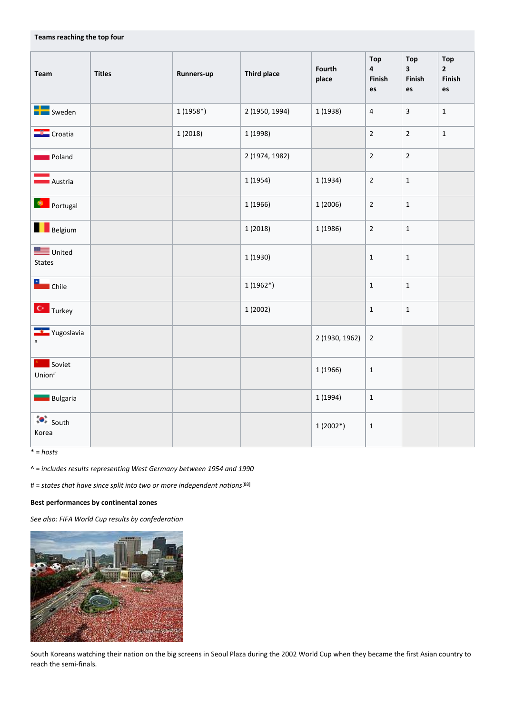| Team                                          | <b>Titles</b> | Runners-up | <b>Third place</b> | Fourth<br>place | Top<br>$\overline{4}$<br>Finish<br>es | Top<br>$\overline{\mathbf{3}}$<br>Finish<br>$\mathsf{es}$ | Top<br>$2^{\circ}$<br>Finish<br>es |
|-----------------------------------------------|---------------|------------|--------------------|-----------------|---------------------------------------|-----------------------------------------------------------|------------------------------------|
| <b>DE</b> Sweden                              |               | $1(1958*)$ | 2 (1950, 1994)     | 1 (1938)        | $\overline{4}$                        | $\overline{3}$                                            | $\mathbf{1}$                       |
| Croatia                                       |               | 1(2018)    | 1 (1998)           |                 | $\overline{2}$                        | $\overline{2}$                                            | $\mathbf{1}$                       |
| <b>Detail</b> Poland                          |               |            | 2 (1974, 1982)     |                 | $\overline{2}$                        | $\overline{2}$                                            |                                    |
| $\begin{array}{c} \hline \end{array}$ Austria |               |            | 1(1954)            | 1(1934)         | $\overline{2}$                        | $\mathbf{1}$                                              |                                    |
| <b>De Portugal</b>                            |               |            | 1 (1966)           | 1(2006)         | $\overline{2}$                        | $\mathbf{1}$                                              |                                    |
| <b>Belgium</b>                                |               |            | 1(2018)            | 1(1986)         | $\overline{2}$                        | $\mathbf{1}$                                              |                                    |
| United<br><b>States</b>                       |               |            | 1 (1930)           |                 | $\mathbf{1}$                          | $\mathbf{1}$                                              |                                    |
| <b>Electric</b> Chile                         |               |            | $1(1962*)$         |                 | $\mathbf{1}$                          | $\mathbf{1}$                                              |                                    |
| <b>C</b> Turkey                               |               |            | 1(2002)            |                 | $\mathbf 1$                           | $\mathbf{1}$                                              |                                    |
| <b>T</b> Yugoslavia                           |               |            |                    | 2 (1930, 1962)  | $\overline{2}$                        |                                                           |                                    |
| Soviet<br>Union#                              |               |            |                    | 1(1966)         | $\mathbf 1$                           |                                                           |                                    |
| <b>Bulgaria</b>                               |               |            |                    | 1 (1994)        | $\mathbf 1$                           |                                                           |                                    |
| $\bullet^*$ South<br>Korea                    |               |            |                    | $1(2002*)$      | $\mathbf 1$                           |                                                           |                                    |

\* = *hosts*

^ = *includes results representing West Germany between 1954 and 1990*

# = states that have since split into two or more independent nations<sup>[88]</sup>

## **Best performances by continental zones**

**Teams reaching the top four**

*See also: FIFA World Cup results by confederation*



South Koreans watching their nation on the big screens in Seoul Plaza during the 2002 World Cup when they became the first Asian country to reach the semi-finals.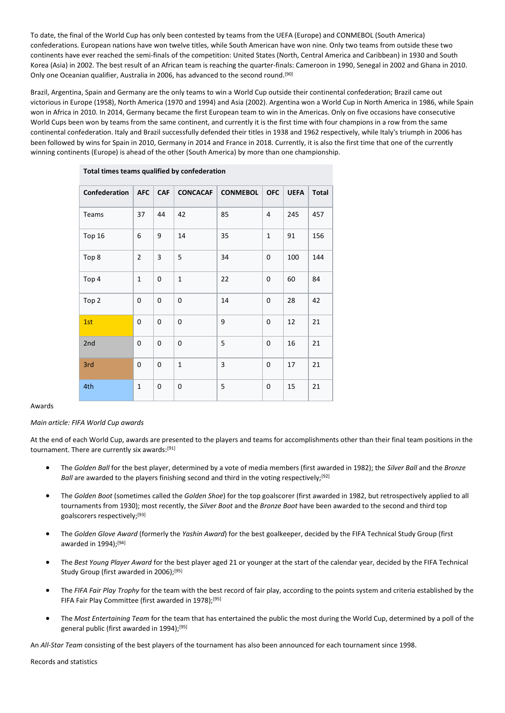To date, the final of the World Cup has only been contested by teams from the UEFA (Europe) and CONMEBOL (South America) confederations. European nations have won twelve titles, while South American have won nine. Only two teams from outside these two continents have ever reached the semi-finals of the competition: United States (North, Central America and Caribbean) in 1930 and South Korea (Asia) in 2002. The best result of an African team is reaching the quarter-finals: Cameroon in 1990, Senegal in 2002 and Ghana in 2010. Only one Oceanian qualifier, Australia in 2006, has advanced to the second round.[90]

Brazil, Argentina, Spain and Germany are the only teams to win a World Cup outside their continental confederation; Brazil came out victorious in Europe (1958), North America (1970 and 1994) and Asia (2002). Argentina won a World Cup in North America in 1986, while Spain won in Africa in 2010. In 2014, Germany became the first European team to win in the Americas. Only on five occasions have consecutive World Cups been won by teams from the same continent, and currently it is the first time with four champions in a row from the same continental confederation. Italy and Brazil successfully defended their titles in 1938 and 1962 respectively, while Italy's triumph in 2006 has been followed by wins for Spain in 2010, Germany in 2014 and France in 2018. Currently, it is also the first time that one of the currently winning continents (Europe) is ahead of the other (South America) by more than one championship.

| Confederation | <b>AFC</b>     | <b>CAF</b> | <b>CONCACAF</b> | <b>CONMEBOL</b> | <b>OFC</b>   | <b>UEFA</b> | Total |
|---------------|----------------|------------|-----------------|-----------------|--------------|-------------|-------|
| Teams         | 37             | 44         | 42              | 85              | 4            | 245         | 457   |
| <b>Top 16</b> | 6              | 9          | 14              | 35              | $\mathbf{1}$ | 91          | 156   |
| Top 8         | $\overline{2}$ | 3          | 5               | 34              | 0            | 100         | 144   |
| Top 4         | $\mathbf{1}$   | 0          | $\mathbf{1}$    | 22              | 0            | 60          | 84    |
| Top 2         | 0              | 0          | 0               | 14              | 0            | 28          | 42    |
| 1st           | $\mathbf 0$    | 0          | 0               | 9               | 0            | 12          | 21    |
| 2nd           | 0              | 0          | 0               | 5               | 0            | 16          | 21    |
| 3rd           | 0              | 0          | $\mathbf{1}$    | 3               | 0            | 17          | 21    |
| 4th           | $\mathbf{1}$   | 0          | 0               | 5               | 0            | 15          | 21    |

**Total times teams qualified by confederation**

### Awards

### *Main article: FIFA World Cup awards*

At the end of each World Cup, awards are presented to the players and teams for accomplishments other than their final team positions in the tournament. There are currently six awards:[91]

- The *Golden Ball* for the best player, determined by a vote of media members (first awarded in 1982); the *Silver Ball* and the *Bronze Ball* are awarded to the players finishing second and third in the voting respectively;<sup>[92]</sup>
- The *Golden Boot* (sometimes called the *Golden Shoe*) for the top goalscorer (first awarded in 1982, but retrospectively applied to all tournaments from 1930); most recently, the *Silver Boot* and the *Bronze Boot* have been awarded to the second and third top goalscorers respectively;[93]
- The *Golden Glove Award* (formerly the *Yashin Award*) for the best goalkeeper, decided by the FIFA Technical Study Group (first awarded in 1994);[94]
- The *Best Young Player Award* for the best player aged 21 or younger at the start of the calendar year, decided by the FIFA Technical Study Group (first awarded in 2006);<sup>[95]</sup>
- The *FIFA Fair Play Trophy* for the team with the best record of fair play, according to the points system and criteria established by the FIFA Fair Play Committee (first awarded in 1978);<sup>[95]</sup>
- The *Most Entertaining Team* for the team that has entertained the public the most during the World Cup, determined by a poll of the general public (first awarded in 1994);<sup>[95]</sup>

An *All-Star Team* consisting of the best players of the tournament has also been announced for each tournament since 1998.

Records and statistics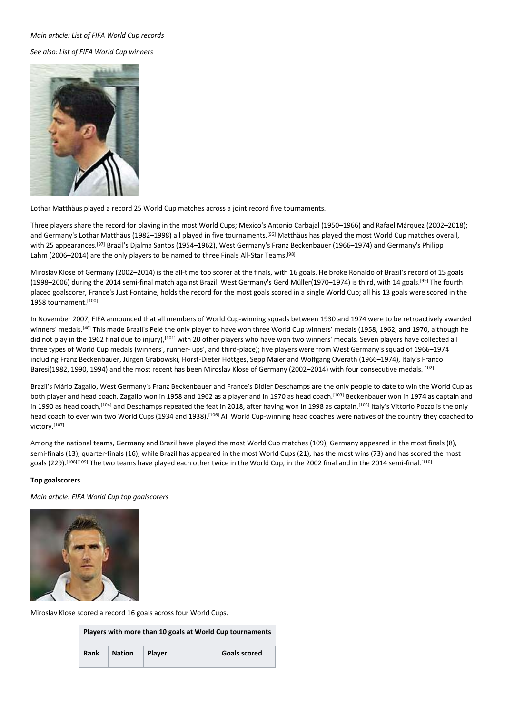#### *Main article: List of FIFA World Cup records*

*See also: List of FIFA World Cup winners*



Lothar Matthäus played a record 25 World Cup matches across a joint record five tournaments.

Three players share the record for playing in the most World Cups; Mexico's Antonio Carbajal (1950–1966) and Rafael Márquez (2002–2018); and Germany's Lothar Matthäus (1982–1998) all played in five tournaments.[96] Matthäus has played the most World Cup matches overall, with 25 appearances.[97] Brazil's Djalma Santos (1954–1962), West Germany's Franz Beckenbauer (1966–1974) and Germany's Philipp Lahm (2006-2014) are the only players to be named to three Finals All-Star Teams.<sup>[98]</sup>

Miroslav Klose of Germany (2002–2014) is the all-time top scorer at the finals, with 16 goals. He broke Ronaldo of Brazil's record of 15 goals (1998–2006) during the 2014 semi-final match against Brazil. West Germany's Gerd Müller(1970–1974) is third, with 14 goals.[99] The fourth placed goalscorer, France's Just Fontaine, holds the record for the most goals scored in a single World Cup; all his 13 goals were scored in the 1958 tournament.<sup>[100]</sup>

In November 2007, FIFA announced that all members of World Cup-winning squads between 1930 and 1974 were to be retroactively awarded winners' medals.<sup>[48]</sup> This made Brazil's Pelé the only player to have won three World Cup winners' medals (1958, 1962, and 1970, although he did not play in the 1962 final due to injury),<sup>[101]</sup> with 20 other players who have won two winners' medals. Seven players have collected all three types of World Cup medals (winners', runner- ups', and third-place); five players were from West Germany's squad of 1966–1974 including Franz Beckenbauer, Jürgen Grabowski, Horst-Dieter Höttges, Sepp Maier and Wolfgang Overath (1966–1974), Italy's Franco Baresi(1982, 1990, 1994) and the most recent has been Miroslav Klose of Germany (2002–2014) with four consecutive medals.[102]

Brazil's Mário Zagallo, West Germany's Franz Beckenbauer and France's Didier Deschamps are the only people to date to win the World Cup as both player and head coach. Zagallo won in 1958 and 1962 as a player and in 1970 as head coach.[103] Beckenbauer won in 1974 as captain and in 1990 as head coach,<sup>[104]</sup> and Deschamps repeated the feat in 2018, after having won in 1998 as captain.<sup>[105]</sup> Italy's Vittorio Pozzo is the only head coach to ever win two World Cups (1934 and 1938).<sup>[106]</sup> All World Cup-winning head coaches were natives of the country they coached to victory.[107]

Among the national teams, Germany and Brazil have played the most World Cup matches (109), Germany appeared in the most finals (8), semi-finals (13), quarter-finals (16), while Brazil has appeared in the most World Cups (21), has the most wins (73) and has scored the most goals (229).<sup>[108][109]</sup> The two teams have played each other twice in the World Cup, in the 2002 final and in the 2014 semi-final.<sup>[110]</sup>

### **Top goalscorers**

*Main article: FIFA World Cup top goalscorers*



Miroslav Klose scored a record 16 goals across four World Cups.

**Players with more than 10 goals at World Cup tournaments**

| <b>Rank</b> | Nation Player | <b>Goals scored</b> |
|-------------|---------------|---------------------|
|             |               |                     |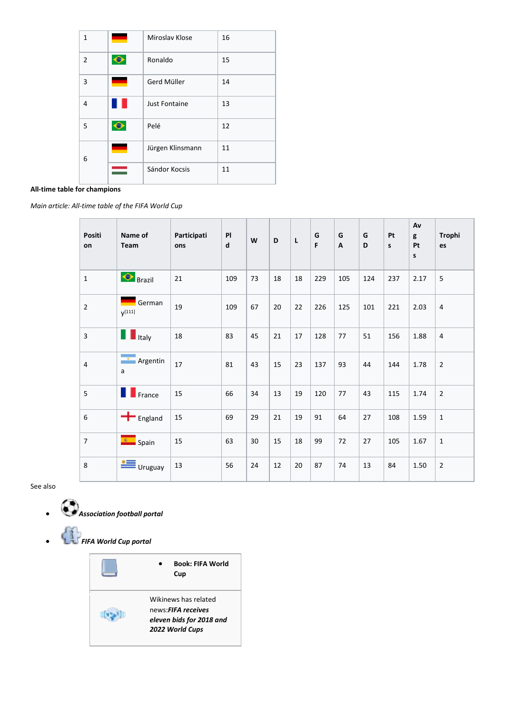| 1              |           | Miroslav Klose       | 16 |
|----------------|-----------|----------------------|----|
| $\overline{2}$ | $\bullet$ | Ronaldo              | 15 |
| 3              |           | Gerd Müller          | 14 |
| 4              |           | <b>Just Fontaine</b> | 13 |
| 5              |           | Pelé                 | 12 |
| 6              |           | Jürgen Klinsmann     | 11 |
|                |           | Sándor Kocsis        | 11 |

# **All-time table for champions**

*Main article: All-time table of the FIFA World Cup*

| <b>Positi</b><br>on | Name of<br>Team                                                                     | Participati<br>ons | PI<br>d | W  | D  | L  | G<br>F | G<br>A | G<br>D | Pt<br>s | Av<br>g<br>Pt<br>s | <b>Trophi</b><br>es |
|---------------------|-------------------------------------------------------------------------------------|--------------------|---------|----|----|----|--------|--------|--------|---------|--------------------|---------------------|
| $\mathbf{1}$        | $\bigcirc$ Brazil                                                                   | 21                 | 109     | 73 | 18 | 18 | 229    | 105    | 124    | 237     | 2.17               | 5                   |
| $\overline{2}$      | German<br>$V^{[111]}$                                                               | 19                 | 109     | 67 | 20 | 22 | 226    | 125    | 101    | 221     | 2.03               | $\overline{4}$      |
| $\mathsf{3}$        | <b>T</b> Italy                                                                      | 18                 | 83      | 45 | 21 | 17 | 128    | 77     | 51     | 156     | 1.88               | $\overline{4}$      |
| $\overline{4}$      | ÷<br>Argentin<br>a                                                                  | 17                 | 81      | 43 | 15 | 23 | 137    | 93     | 44     | 144     | 1.78               | $\overline{2}$      |
| 5                   | <b>T</b> France                                                                     | 15                 | 66      | 34 | 13 | 19 | 120    | 77     | 43     | 115     | 1.74               | $\overline{2}$      |
| 6                   | $\blacksquare$ England                                                              | 15                 | 69      | 29 | 21 | 19 | 91     | 64     | 27     | 108     | 1.59               | $\mathbf{1}$        |
| $\overline{7}$      | $\left  \begin{array}{cc} \bullet & \bullet \\ \bullet & \end{array} \right $ Spain | 15                 | 63      | 30 | 15 | 18 | 99     | 72     | 27     | 105     | 1.67               | $\mathbf{1}$        |
| 8                   | ≝<br>Uruguay                                                                        | 13                 | 56      | 24 | 12 | 20 | 87     | 74     | 13     | 84      | 1.50               | 2                   |

See also

- *Association football portal*
- *FIFA World Cup portal*

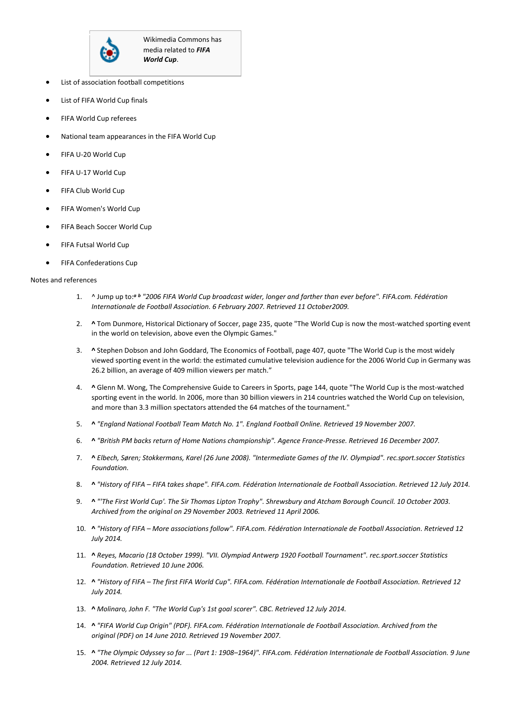

- List of association football competitions
- List of FIFA World Cup finals
- FIFA World Cup referees
- National team appearances in the FIFA World Cup
- FIFA U-20 World Cup
- FIFA U-17 World Cup
- FIFA Club World Cup
- FIFA Women's World Cup
- FIFA Beach Soccer World Cup
- FIFA Futsal World Cup
- FIFA Confederations Cup

#### Notes and references

- 1. ^ Jump up to:*<sup>a</sup> <sup>b</sup> "2006 FIFA World Cup broadcast wider, longer and farther than ever before". FIFA.com. Fédération Internationale de Football Association. 6 February 2007. Retrieved 11 October2009.*
- 2. **^** Tom Dunmore, Historical Dictionary of Soccer, page 235, quote "The World Cup is now the most-watched sporting event in the world on television, above even the Olympic Games."
- 3. **^** Stephen Dobson and John Goddard, The Economics of Football, page 407, quote "The World Cup is the most widely viewed sporting event in the world: the estimated cumulative television audience for the 2006 World Cup in Germany was 26.2 billion, an average of 409 million viewers per match."
- 4. **^** Glenn M. Wong, The Comprehensive Guide to Careers in Sports, page 144, quote "The World Cup is the most-watched sporting event in the world. In 2006, more than 30 billion viewers in 214 countries watched the World Cup on television, and more than 3.3 million spectators attended the 64 matches of the tournament."
- 5. **^** *"England National Football Team Match No. 1". England Football Online. Retrieved 19 November 2007.*
- 6. **^** *"British PM backs return of Home Nations championship". Agence France-Presse. Retrieved 16 December 2007.*
- 7. **^** *Elbech, Søren; Stokkermans, Karel (26 June 2008). "Intermediate Games of the IV. Olympiad". rec.sport.soccer Statistics Foundation.*
- 8. **^** *"History of FIFA – FIFA takes shape". FIFA.com. Fédération Internationale de Football Association. Retrieved 12 July 2014.*
- 9. **^** *"'The First World Cup'. The Sir Thomas Lipton Trophy". Shrewsbury and Atcham Borough Council. 10 October 2003. Archived from the original on 29 November 2003. Retrieved 11 April 2006.*
- 10. **^** *"History of FIFA – More associations follow". FIFA.com. Fédération Internationale de Football Association. Retrieved 12 July 2014.*
- 11. **^** *Reyes, Macario (18 October 1999). "VII. Olympiad Antwerp 1920 Football Tournament". rec.sport.soccer Statistics Foundation. Retrieved 10 June 2006.*
- 12. **^** *"History of FIFA – The first FIFA World Cup". FIFA.com. Fédération Internationale de Football Association. Retrieved 12 July 2014.*
- 13. **^** *Molinaro, John F. "The World Cup's 1st goal scorer". CBC. Retrieved 12 July 2014.*
- 14. **^** *"FIFA World Cup Origin" (PDF). FIFA.com. Fédération Internationale de Football Association. Archived from the original (PDF) on 14 June 2010. Retrieved 19 November 2007.*
- 15. **^** *"The Olympic Odyssey so far ... (Part 1: 1908–1964)". FIFA.com. Fédération Internationale de Football Association. 9 June 2004. Retrieved 12 July 2014.*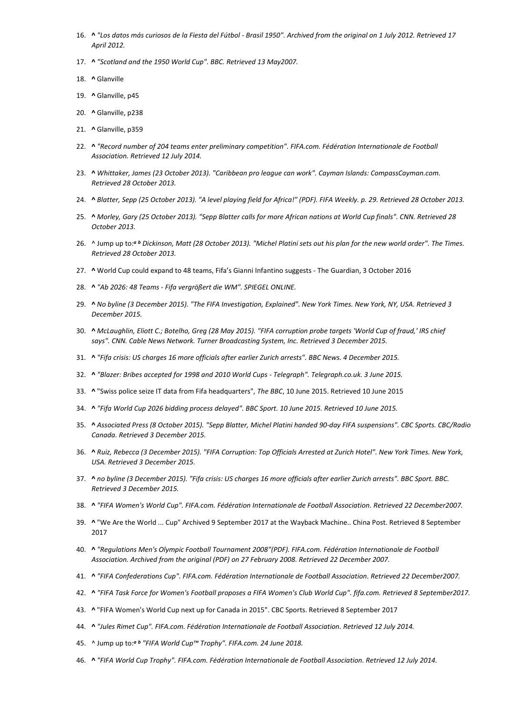- 16. **^** *"Los datos más curiosos de la Fiesta del Fútbol - Brasil 1950". Archived from the original on 1 July 2012. Retrieved 17 April 2012.*
- 17. **^** *"Scotland and the 1950 World Cup". BBC. Retrieved 13 May2007.*
- 18. **^** Glanville
- 19. **^** Glanville, p45
- 20. **^** Glanville, p238
- 21. **^** Glanville, p359
- 22. **^** *"Record number of 204 teams enter preliminary competition". FIFA.com. Fédération Internationale de Football Association. Retrieved 12 July 2014.*
- 23. **^** *Whittaker, James (23 October 2013). "Caribbean pro league can work". Cayman Islands: CompassCayman.com. Retrieved 28 October 2013.*
- 24. **^** *Blatter, Sepp (25 October 2013). "A level playing field for Africa!" (PDF). FIFA Weekly. p. 29. Retrieved 28 October 2013.*
- 25. **^** *Morley, Gary (25 October 2013). "Sepp Blatter calls for more African nations at World Cup finals". CNN. Retrieved 28 October 2013.*
- 26. ^ Jump up to:*<sup>a</sup> <sup>b</sup> Dickinson, Matt (28 October 2013). "Michel Platini sets out his plan for the new world order". The Times. Retrieved 28 October 2013.*
- 27. **^** World Cup could expand to 48 teams, Fifa's Gianni Infantino suggests The Guardian, 3 October 2016
- 28. **^** *"Ab 2026: 48 Teams - Fifa vergrößert die WM". SPIEGEL ONLINE.*
- 29. **^** *No byline (3 December 2015). "The FIFA Investigation, Explained". New York Times. New York, NY, USA. Retrieved 3 December 2015.*
- 30. **^** *McLaughlin, Eliott C.; Botelho, Greg (28 May 2015). "FIFA corruption probe targets 'World Cup of fraud,' IRS chief says". CNN. Cable News Network. Turner Broadcasting System, Inc. Retrieved 3 December 2015.*
- 31. **^** *"Fifa crisis: US charges 16 more officials after earlier Zurich arrests". BBC News. 4 December 2015.*
- 32. **^** *"Blazer: Bribes accepted for 1998 and 2010 World Cups - Telegraph". Telegraph.co.uk. 3 June 2015.*
- 33. **^** "Swiss police seize IT data from Fifa headquarters", *The BBC*, 10 June 2015. Retrieved 10 June 2015
- 34. **^** *"Fifa World Cup 2026 bidding process delayed". BBC Sport. 10 June 2015. Retrieved 10 June 2015.*
- 35. **^** *Associated Press (8 October 2015). "Sepp Blatter, Michel Platini handed 90-day FIFA suspensions". CBC Sports. CBC/Radio Canada. Retrieved 3 December 2015.*
- 36. **^** *Ruiz, Rebecca (3 December 2015). "FIFA Corruption: Top Officials Arrested at Zurich Hotel". New York Times. New York, USA. Retrieved 3 December 2015.*
- 37. **^** *no byline (3 December 2015). "Fifa crisis: US charges 16 more officials after earlier Zurich arrests". BBC Sport. BBC. Retrieved 3 December 2015.*
- 38. **^** *"FIFA Women's World Cup". FIFA.com. Fédération Internationale de Football Association. Retrieved 22 December2007.*
- 39. **^** "We Are the World ... Cup" Archived 9 September 2017 at the Wayback Machine.. China Post. Retrieved 8 September 2017
- 40. **^** *"Regulations Men's Olympic Football Tournament 2008"(PDF). FIFA.com. Fédération Internationale de Football Association. Archived from the original (PDF) on 27 February 2008. Retrieved 22 December 2007.*
- 41. **^** *"FIFA Confederations Cup". FIFA.com. Fédération Internationale de Football Association. Retrieved 22 December2007.*
- 42. **^** *"FIFA Task Force for Women's Football proposes a FIFA Women's Club World Cup". fifa.com. Retrieved 8 September2017.*
- 43. **^** "FIFA Women's World Cup next up for Canada in 2015". CBC Sports. Retrieved 8 September 2017
- 44. **^** *"Jules Rimet Cup". FIFA.com. Fédération Internationale de Football Association. Retrieved 12 July 2014.*
- 45. ^ Jump up to:*<sup>a</sup> <sup>b</sup> "FIFA World Cup™ Trophy". FIFA.com. 24 June 2018.*
- 46. **^** *"FIFA World Cup Trophy". FIFA.com. Fédération Internationale de Football Association. Retrieved 12 July 2014.*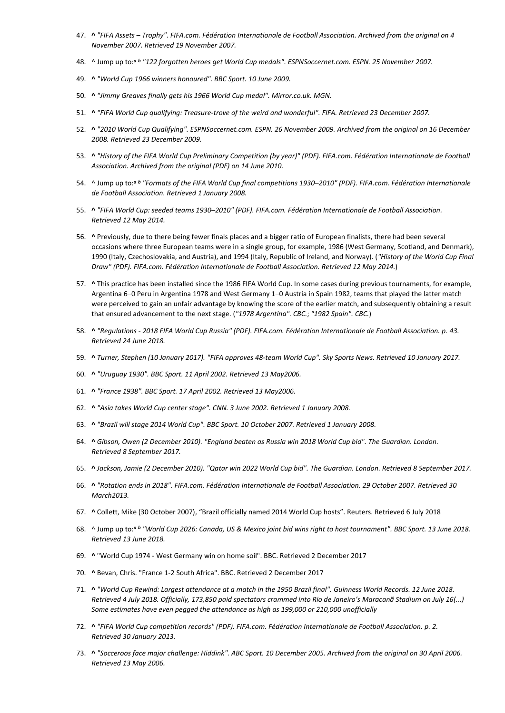- 47. **^** *"FIFA Assets – Trophy". FIFA.com. Fédération Internationale de Football Association. Archived from the original on 4 November 2007. Retrieved 19 November 2007.*
- 48. ^ Jump up to:*<sup>a</sup> <sup>b</sup> "122 forgotten heroes get World Cup medals". ESPNSoccernet.com. ESPN. 25 November 2007.*
- 49. **^** *"World Cup 1966 winners honoured". BBC Sport. 10 June 2009.*
- 50. **^** *"Jimmy Greaves finally gets his 1966 World Cup medal". Mirror.co.uk. MGN.*
- 51. **^** *"FIFA World Cup qualifying: Treasure-trove of the weird and wonderful". FIFA. Retrieved 23 December 2007.*
- 52. **^** *"2010 World Cup Qualifying". ESPNSoccernet.com. ESPN. 26 November 2009. Archived from the original on 16 December 2008. Retrieved 23 December 2009.*
- 53. **^** *"History of the FIFA World Cup Preliminary Competition (by year)" (PDF). FIFA.com. Fédération Internationale de Football Association. Archived from the original (PDF) on 14 June 2010.*
- 54. ^ Jump up to:*<sup>a</sup> <sup>b</sup> "Formats of the FIFA World Cup final competitions 1930–2010" (PDF). FIFA.com. Fédération Internationale de Football Association. Retrieved 1 January 2008.*
- 55. **^** *"FIFA World Cup: seeded teams 1930–2010" (PDF). FIFA.com. Fédération Internationale de Football Association. Retrieved 12 May 2014.*
- 56. **^** Previously, due to there being fewer finals places and a bigger ratio of European finalists, there had been several occasions where three European teams were in a single group, for example, 1986 (West Germany, Scotland, and Denmark), 1990 (Italy, Czechoslovakia, and Austria), and 1994 (Italy, Republic of Ireland, and Norway). (*"History of the World Cup Final Draw" (PDF). FIFA.com. Fédération Internationale de Football Association. Retrieved 12 May 2014.*)
- 57. **^** This practice has been installed since the 1986 FIFA World Cup. In some cases during previous tournaments, for example, Argentina 6–0 Peru in Argentina 1978 and West Germany 1–0 Austria in Spain 1982, teams that played the latter match were perceived to gain an unfair advantage by knowing the score of the earlier match, and subsequently obtaining a result that ensured advancement to the next stage. (*"1978 Argentina". CBC.*; *"1982 Spain". CBC.*)
- 58. **^** *"Regulations - 2018 FIFA World Cup Russia" (PDF). FIFA.com. Fédération Internationale de Football Association. p. 43. Retrieved 24 June 2018.*
- 59. **^** *Turner, Stephen (10 January 2017). "FIFA approves 48-team World Cup". Sky Sports News. Retrieved 10 January 2017.*
- 60. **^** *"Uruguay 1930". BBC Sport. 11 April 2002. Retrieved 13 May2006.*
- 61. **^** *"France 1938". BBC Sport. 17 April 2002. Retrieved 13 May2006.*
- 62. **^** *"Asia takes World Cup center stage". CNN. 3 June 2002. Retrieved 1 January 2008.*
- 63. **^** *"Brazil will stage 2014 World Cup". BBC Sport. 10 October 2007. Retrieved 1 January 2008.*
- 64. **^** *Gibson, Owen (2 December 2010). "England beaten as Russia win 2018 World Cup bid". The Guardian. London. Retrieved 8 September 2017.*
- 65. **^** *Jackson, Jamie (2 December 2010). "Qatar win 2022 World Cup bid". The Guardian. London. Retrieved 8 September 2017.*
- 66. **^** *"Rotation ends in 2018". FIFA.com. Fédération Internationale de Football Association. 29 October 2007. Retrieved 30 March2013.*
- 67. **^** Collett, Mike (30 October 2007), "Brazil officially named 2014 World Cup hosts". Reuters. Retrieved 6 July 2018
- 68. ^ Jump up to:*<sup>a</sup> <sup>b</sup> "World Cup 2026: Canada, US & Mexico joint bid wins right to host tournament". BBC Sport. 13 June 2018. Retrieved 13 June 2018.*
- 69. **^** "World Cup 1974 West Germany win on home soil". BBC. Retrieved 2 December 2017
- 70. **^** Bevan, Chris. "France 1-2 South Africa". BBC. Retrieved 2 December 2017
- 71. **^** *"World Cup Rewind: Largest attendance at a match in the 1950 Brazil final". Guinness World Records. 12 June 2018. Retrieved 4 July 2018. Officially, 173,850 paid spectators crammed into Rio de Janeiro's Maracanã Stadium on July 16(...) Some estimates have even pegged the attendance as high as 199,000 or 210,000 unofficially*
- 72. **^** *"FIFA World Cup competition records" (PDF). FIFA.com. Fédération Internationale de Football Association. p. 2. Retrieved 30 January 2013.*
- 73. **^** *"Socceroos face major challenge: Hiddink". ABC Sport. 10 December 2005. Archived from the original on 30 April 2006. Retrieved 13 May 2006.*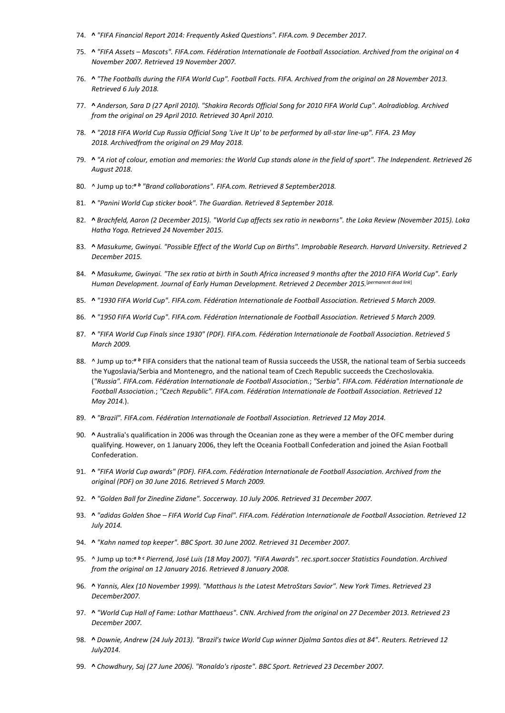- 74. **^** *"FIFA Financial Report 2014: Frequently Asked Questions". FIFA.com. 9 December 2017.*
- 75. **^** *"FIFA Assets – Mascots". FIFA.com. Fédération Internationale de Football Association. Archived from the original on 4 November 2007. Retrieved 19 November 2007.*
- 76. **^** *"The Footballs during the FIFA World Cup". Football Facts. FIFA. Archived from the original on 28 November 2013. Retrieved 6 July 2018.*
- 77. **^** *Anderson, Sara D (27 April 2010). "Shakira Records Official Song for 2010 FIFA World Cup". Aolradioblog. Archived from the original on 29 April 2010. Retrieved 30 April 2010.*
- 78. **^** *"2018 FIFA World Cup Russia Official Song 'Live It Up' to be performed by all-star line-up". FIFA. 23 May 2018. Archivedfrom the original on 29 May 2018.*
- 79. **^** *"A riot of colour, emotion and memories: the World Cup stands alone in the field of sport". The Independent. Retrieved 26 August 2018.*
- 80. ^ Jump up to:*<sup>a</sup> <sup>b</sup> "Brand collaborations". FIFA.com. Retrieved 8 September2018.*
- 81. **^** *"Panini World Cup sticker book". The Guardian. Retrieved 8 September 2018.*
- 82. **^** *Brachfeld, Aaron (2 December 2015). "World Cup affects sex ratio in newborns". the Loka Review (November 2015). Loka Hatha Yoga. Retrieved 24 November 2015.*
- 83. **^** *Masukume, Gwinyai. "Possible Effect of the World Cup on Births". Improbable Research. Harvard University. Retrieved 2 December 2015.*
- 84. **^** *Masukume, Gwinyai. "The sex ratio at birth in South Africa increased 9 months after the 2010 FIFA World Cup". Early Human Development. Journal of Early Human Development. Retrieved 2 December 2015.* [*permanent dead link*]
- 85. **^** *"1930 FIFA World Cup". FIFA.com. Fédération Internationale de Football Association. Retrieved 5 March 2009.*
- 86. **^** *"1950 FIFA World Cup". FIFA.com. Fédération Internationale de Football Association. Retrieved 5 March 2009.*
- 87. **^** *"FIFA World Cup Finals since 1930" (PDF). FIFA.com. Fédération Internationale de Football Association. Retrieved 5 March 2009.*
- 88. ^ Jump up to:<sup>a b</sup> FIFA considers that the national team of Russia succeeds the USSR, the national team of Serbia succeeds the Yugoslavia/Serbia and Montenegro, and the national team of Czech Republic succeeds the Czechoslovakia. (*"Russia". FIFA.com. Fédération Internationale de Football Association.*; *"Serbia". FIFA.com. Fédération Internationale de Football Association.*; *"Czech Republic". FIFA.com. Fédération Internationale de Football Association. Retrieved 12 May 2014.*).
- 89. **^** *"Brazil". FIFA.com. Fédération Internationale de Football Association. Retrieved 12 May 2014.*
- 90. **^** Australia's qualification in 2006 was through the Oceanian zone as they were a member of the OFC member during qualifying. However, on 1 January 2006, they left the Oceania Football Confederation and joined the Asian Football Confederation.
- 91. **^** *"FIFA World Cup awards" (PDF). FIFA.com. Fédération Internationale de Football Association. Archived from the original (PDF) on 30 June 2016. Retrieved 5 March 2009.*
- 92. **^** *"Golden Ball for Zinedine Zidane". Soccerway. 10 July 2006. Retrieved 31 December 2007.*
- 93. **^** *"adidas Golden Shoe – FIFA World Cup Final". FIFA.com. Fédération Internationale de Football Association. Retrieved 12 July 2014.*
- 94. **^** *"Kahn named top keeper". BBC Sport. 30 June 2002. Retrieved 31 December 2007.*
- 95. ^ Jump up to:*<sup>a</sup> <sup>b</sup> <sup>c</sup> Pierrend, José Luis (18 May 2007). "FIFA Awards". rec.sport.soccer Statistics Foundation. Archived from the original on 12 January 2016. Retrieved 8 January 2008.*
- 96. **^** *Yannis, Alex (10 November 1999). "Matthaus Is the Latest MetroStars Savior". New York Times. Retrieved 23 December2007.*
- 97. **^** *"World Cup Hall of Fame: Lothar Matthaeus". CNN. Archived from the original on 27 December 2013. Retrieved 23 December 2007.*
- 98. **^** *Downie, Andrew (24 July 2013). "Brazil's twice World Cup winner Djalma Santos dies at 84". Reuters. Retrieved 12 July2014.*
- 99. **^** *Chowdhury, Saj (27 June 2006). "Ronaldo's riposte". BBC Sport. Retrieved 23 December 2007.*